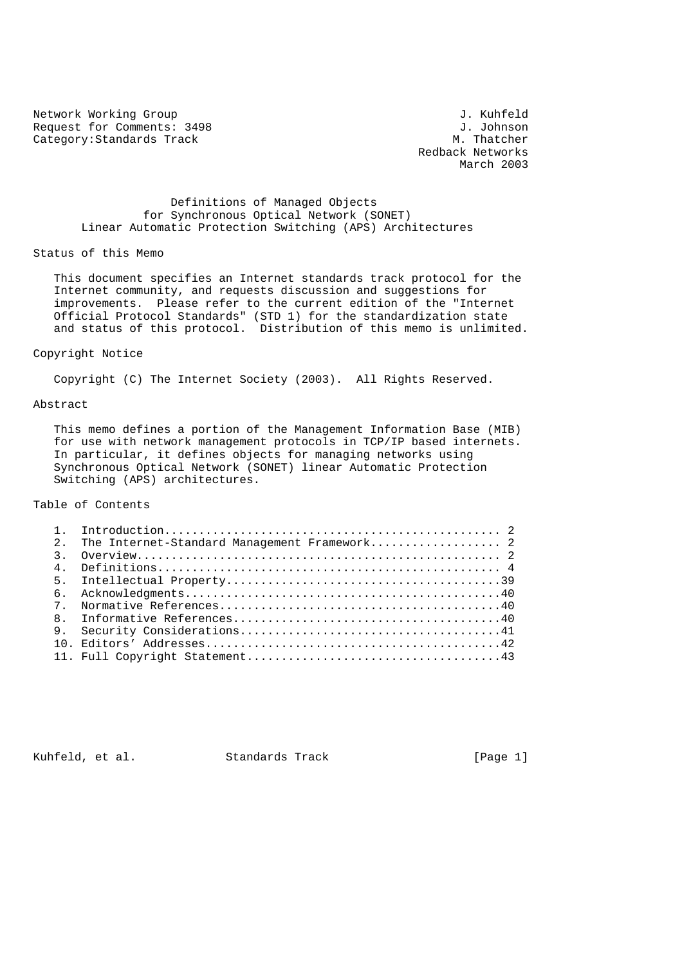Network Working Group<br>
Request for Comments: 3498<br>
J. Johnson Request for Comments: 3498 J. Johnson<br>Category:Standards Track Category:Standards Track Category: Standards Track

 Redback Networks March 2003

## Definitions of Managed Objects for Synchronous Optical Network (SONET) Linear Automatic Protection Switching (APS) Architectures

### Status of this Memo

 This document specifies an Internet standards track protocol for the Internet community, and requests discussion and suggestions for improvements. Please refer to the current edition of the "Internet Official Protocol Standards" (STD 1) for the standardization state and status of this protocol. Distribution of this memo is unlimited.

### Copyright Notice

Copyright (C) The Internet Society (2003). All Rights Reserved.

## Abstract

 This memo defines a portion of the Management Information Base (MIB) for use with network management protocols in TCP/IP based internets. In particular, it defines objects for managing networks using Synchronous Optical Network (SONET) linear Automatic Protection Switching (APS) architectures.

# Table of Contents

| $2^{\circ}$    | The Internet-Standard Management Framework 2 |
|----------------|----------------------------------------------|
| $\mathcal{R}$  |                                              |
| $\overline{4}$ |                                              |
|                |                                              |
| რ.             |                                              |
| $7^{\circ}$    |                                              |
|                |                                              |
|                |                                              |
|                |                                              |
|                |                                              |

Kuhfeld, et al. Standards Track [Page 1]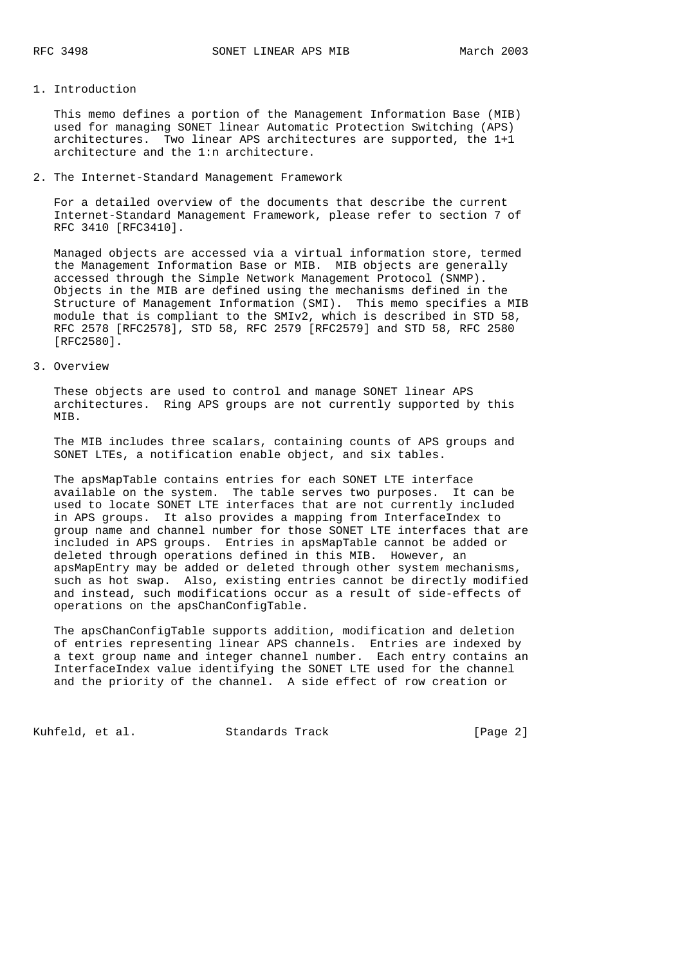## 1. Introduction

 This memo defines a portion of the Management Information Base (MIB) used for managing SONET linear Automatic Protection Switching (APS) architectures. Two linear APS architectures are supported, the 1+1 architecture and the 1:n architecture.

### 2. The Internet-Standard Management Framework

 For a detailed overview of the documents that describe the current Internet-Standard Management Framework, please refer to section 7 of RFC 3410 [RFC3410].

 Managed objects are accessed via a virtual information store, termed the Management Information Base or MIB. MIB objects are generally accessed through the Simple Network Management Protocol (SNMP). Objects in the MIB are defined using the mechanisms defined in the Structure of Management Information (SMI). This memo specifies a MIB module that is compliant to the SMIv2, which is described in STD 58, RFC 2578 [RFC2578], STD 58, RFC 2579 [RFC2579] and STD 58, RFC 2580 [RFC2580].

## 3. Overview

 These objects are used to control and manage SONET linear APS architectures. Ring APS groups are not currently supported by this MIB.

 The MIB includes three scalars, containing counts of APS groups and SONET LTEs, a notification enable object, and six tables.

 The apsMapTable contains entries for each SONET LTE interface available on the system. The table serves two purposes. It can be used to locate SONET LTE interfaces that are not currently included in APS groups. It also provides a mapping from InterfaceIndex to group name and channel number for those SONET LTE interfaces that are included in APS groups. Entries in apsMapTable cannot be added or deleted through operations defined in this MIB. However, an apsMapEntry may be added or deleted through other system mechanisms, such as hot swap. Also, existing entries cannot be directly modified and instead, such modifications occur as a result of side-effects of operations on the apsChanConfigTable.

 The apsChanConfigTable supports addition, modification and deletion of entries representing linear APS channels. Entries are indexed by a text group name and integer channel number. Each entry contains an InterfaceIndex value identifying the SONET LTE used for the channel and the priority of the channel. A side effect of row creation or

Kuhfeld, et al. Standards Track [Page 2]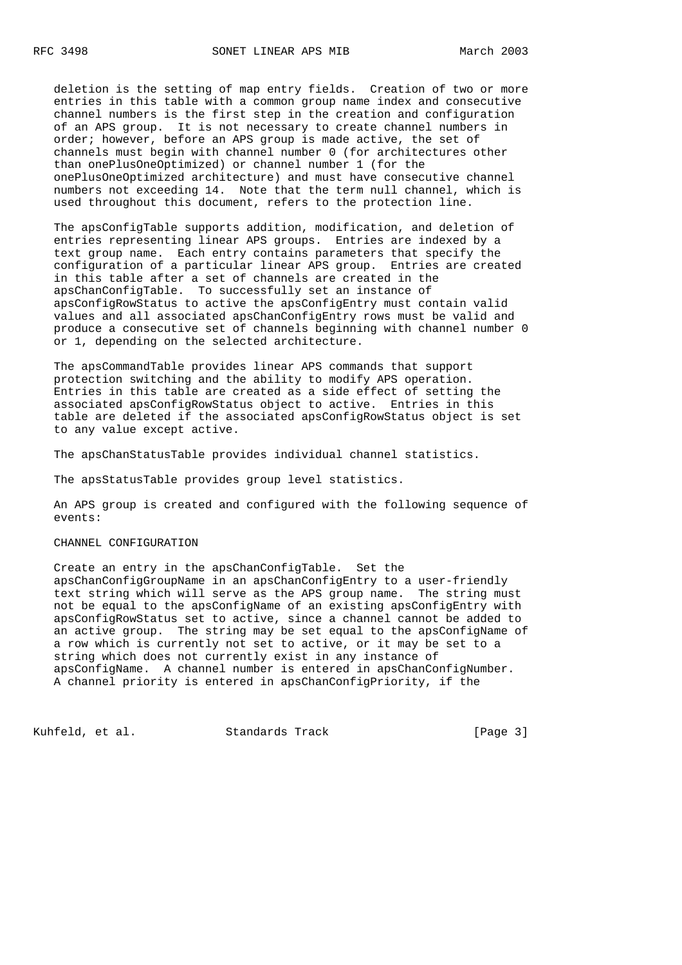deletion is the setting of map entry fields. Creation of two or more entries in this table with a common group name index and consecutive channel numbers is the first step in the creation and configuration of an APS group. It is not necessary to create channel numbers in order; however, before an APS group is made active, the set of channels must begin with channel number 0 (for architectures other than onePlusOneOptimized) or channel number 1 (for the onePlusOneOptimized architecture) and must have consecutive channel numbers not exceeding 14. Note that the term null channel, which is used throughout this document, refers to the protection line.

 The apsConfigTable supports addition, modification, and deletion of entries representing linear APS groups. Entries are indexed by a text group name. Each entry contains parameters that specify the configuration of a particular linear APS group. Entries are created in this table after a set of channels are created in the apsChanConfigTable. To successfully set an instance of apsConfigRowStatus to active the apsConfigEntry must contain valid values and all associated apsChanConfigEntry rows must be valid and produce a consecutive set of channels beginning with channel number 0 or 1, depending on the selected architecture.

 The apsCommandTable provides linear APS commands that support protection switching and the ability to modify APS operation. Entries in this table are created as a side effect of setting the associated apsConfigRowStatus object to active. Entries in this table are deleted if the associated apsConfigRowStatus object is set to any value except active.

The apsChanStatusTable provides individual channel statistics.

The apsStatusTable provides group level statistics.

 An APS group is created and configured with the following sequence of events:

#### CHANNEL CONFIGURATION

 Create an entry in the apsChanConfigTable. Set the apsChanConfigGroupName in an apsChanConfigEntry to a user-friendly text string which will serve as the APS group name. The string must not be equal to the apsConfigName of an existing apsConfigEntry with apsConfigRowStatus set to active, since a channel cannot be added to an active group. The string may be set equal to the apsConfigName of a row which is currently not set to active, or it may be set to a string which does not currently exist in any instance of apsConfigName. A channel number is entered in apsChanConfigNumber. A channel priority is entered in apsChanConfigPriority, if the

Kuhfeld, et al. Standards Track [Page 3]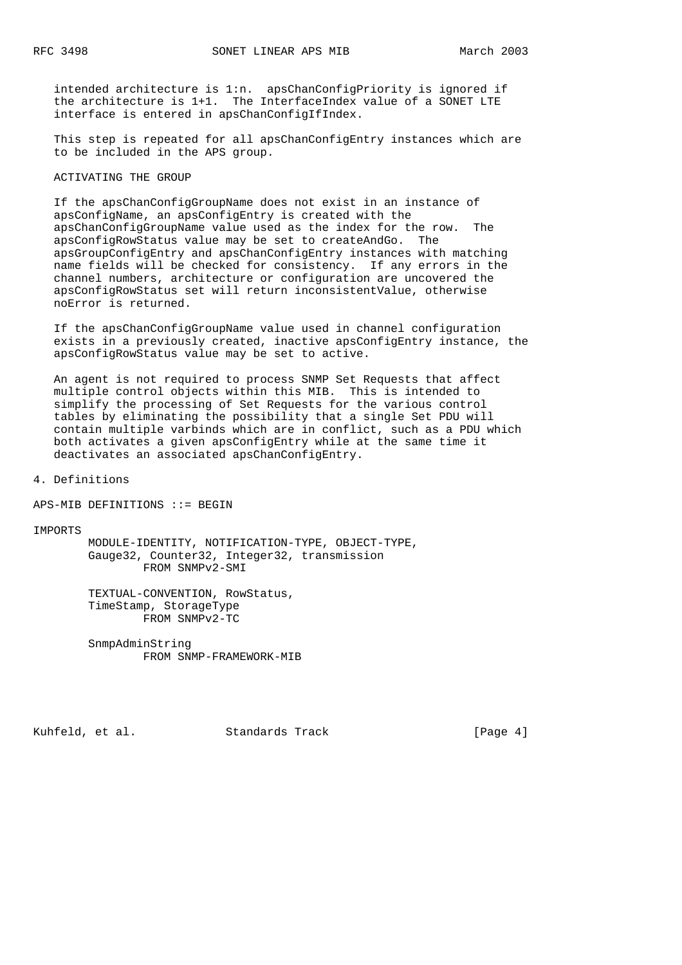intended architecture is 1:n. apsChanConfigPriority is ignored if the architecture is 1+1. The InterfaceIndex value of a SONET LTE interface is entered in apsChanConfigIfIndex.

 This step is repeated for all apsChanConfigEntry instances which are to be included in the APS group.

## ACTIVATING THE GROUP

 If the apsChanConfigGroupName does not exist in an instance of apsConfigName, an apsConfigEntry is created with the apsChanConfigGroupName value used as the index for the row. The apsConfigRowStatus value may be set to createAndGo. The apsGroupConfigEntry and apsChanConfigEntry instances with matching name fields will be checked for consistency. If any errors in the channel numbers, architecture or configuration are uncovered the apsConfigRowStatus set will return inconsistentValue, otherwise noError is returned.

 If the apsChanConfigGroupName value used in channel configuration exists in a previously created, inactive apsConfigEntry instance, the apsConfigRowStatus value may be set to active.

 An agent is not required to process SNMP Set Requests that affect multiple control objects within this MIB. This is intended to simplify the processing of Set Requests for the various control tables by eliminating the possibility that a single Set PDU will contain multiple varbinds which are in conflict, such as a PDU which both activates a given apsConfigEntry while at the same time it deactivates an associated apsChanConfigEntry.

4. Definitions

APS-MIB DEFINITIONS ::= BEGIN

**TMPORTS** 

 MODULE-IDENTITY, NOTIFICATION-TYPE, OBJECT-TYPE, Gauge32, Counter32, Integer32, transmission FROM SNMPv2-SMI

 TEXTUAL-CONVENTION, RowStatus, TimeStamp, StorageType FROM SNMPv2-TC

 SnmpAdminString FROM SNMP-FRAMEWORK-MIB

Kuhfeld, et al. Standards Track [Page 4]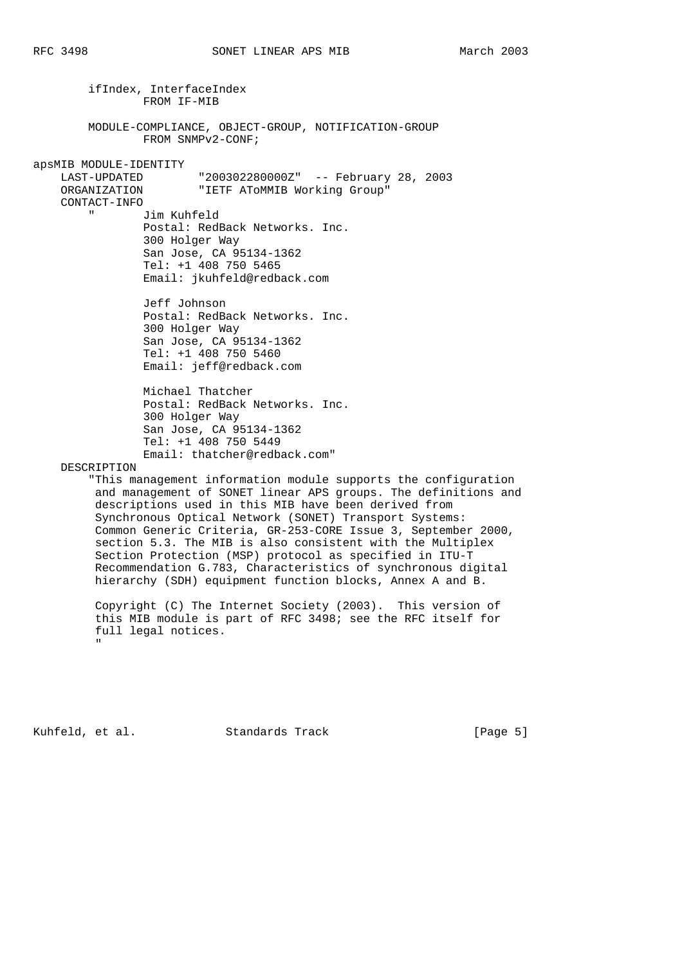ifIndex, InterfaceIndex FROM IF-MIB MODULE-COMPLIANCE, OBJECT-GROUP, NOTIFICATION-GROUP FROM SNMPv2-CONF; apsMIB MODULE-IDENTITY "200302280000Z" -- February 28, 2003 ORGANIZATION "IETF AToMMIB Working Group" CONTACT-INFO " Jim Kuhfeld Postal: RedBack Networks. Inc. 300 Holger Way San Jose, CA 95134-1362 Tel: +1 408 750 5465 Email: jkuhfeld@redback.com Jeff Johnson Postal: RedBack Networks. Inc. 300 Holger Way San Jose, CA 95134-1362 Tel: +1 408 750 5460 Email: jeff@redback.com Michael Thatcher Postal: RedBack Networks. Inc. 300 Holger Way San Jose, CA 95134-1362 Tel: +1 408 750 5449 Email: thatcher@redback.com" DESCRIPTION "This management information module supports the configuration and management of SONET linear APS groups. The definitions and descriptions used in this MIB have been derived from Synchronous Optical Network (SONET) Transport Systems: Common Generic Criteria, GR-253-CORE Issue 3, September 2000, section 5.3. The MIB is also consistent with the Multiplex Section Protection (MSP) protocol as specified in ITU-T Recommendation G.783, Characteristics of synchronous digital hierarchy (SDH) equipment function blocks, Annex A and B.

 Copyright (C) The Internet Society (2003). This version of this MIB module is part of RFC 3498; see the RFC itself for full legal notices. "

Kuhfeld, et al. Standards Track [Page 5]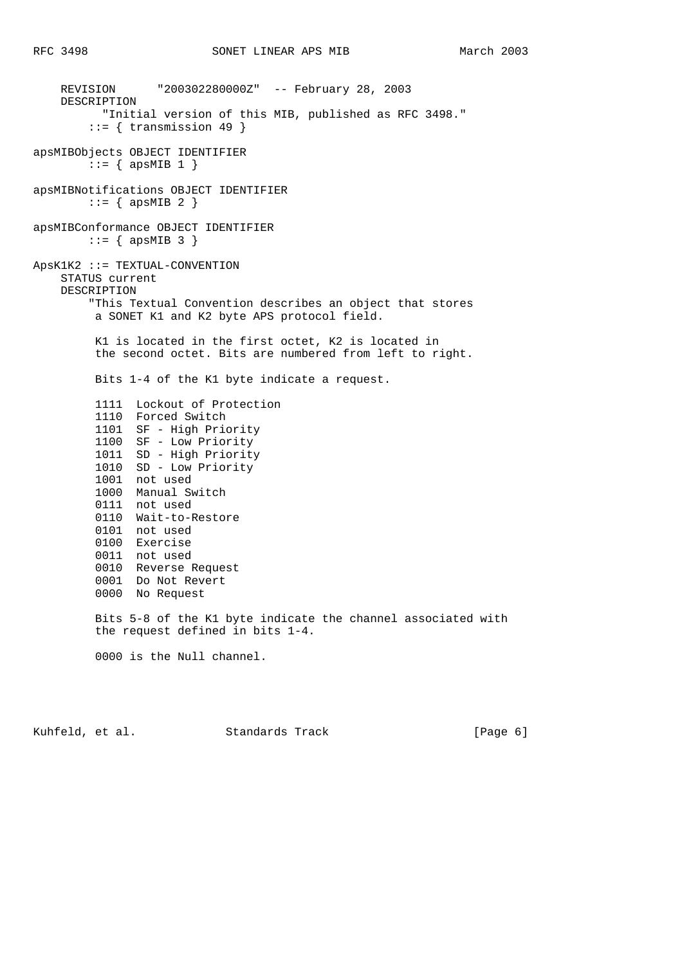REVISION "200302280000Z" -- February 28, 2003 DESCRIPTION "Initial version of this MIB, published as RFC 3498."  $::=$  { transmission 49 } apsMIBObjects OBJECT IDENTIFIER ::= { apsMIB 1 } apsMIBNotifications OBJECT IDENTIFIER  $::=$  { apsMIB 2 } apsMIBConformance OBJECT IDENTIFIER  $::=$  { apsMIB 3 } ApsK1K2 ::= TEXTUAL-CONVENTION STATUS current DESCRIPTION "This Textual Convention describes an object that stores a SONET K1 and K2 byte APS protocol field. K1 is located in the first octet, K2 is located in the second octet. Bits are numbered from left to right. Bits 1-4 of the K1 byte indicate a request. 1111 Lockout of Protection 1110 Forced Switch 1101 SF - High Priority 1100 SF - Low Priority 1011 SD - High Priority 1010 SD - Low Priority 1001 not used 1000 Manual Switch 0111 not used 0110 Wait-to-Restore 0101 not used 0100 Exercise 0011 not used 0010 Reverse Request 0001 Do Not Revert 0000 No Request Bits 5-8 of the K1 byte indicate the channel associated with the request defined in bits 1-4. 0000 is the Null channel.

Kuhfeld, et al. Standards Track [Page 6]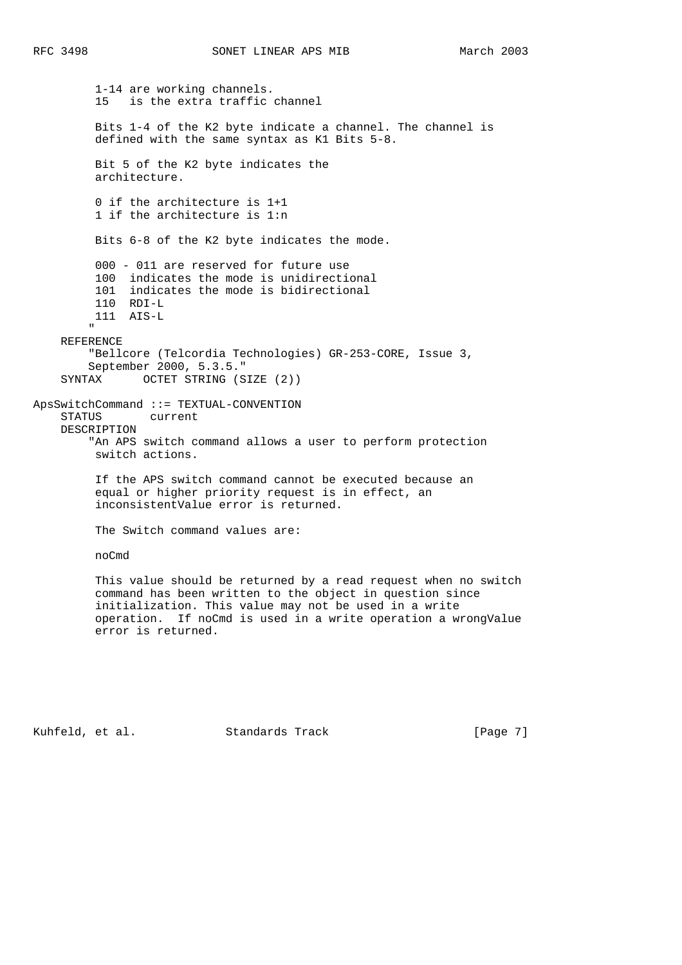1-14 are working channels. 15 is the extra traffic channel Bits 1-4 of the K2 byte indicate a channel. The channel is defined with the same syntax as K1 Bits 5-8. Bit 5 of the K2 byte indicates the architecture. 0 if the architecture is 1+1 1 if the architecture is 1:n Bits 6-8 of the K2 byte indicates the mode. 000 - 011 are reserved for future use 100 indicates the mode is unidirectional 101 indicates the mode is bidirectional 110 RDI-L 111 AIS-L " REFERENCE "Bellcore (Telcordia Technologies) GR-253-CORE, Issue 3, September 2000, 5.3.5." SYNTAX OCTET STRING (SIZE (2)) ApsSwitchCommand ::= TEXTUAL-CONVENTION STATUS current DESCRIPTION "An APS switch command allows a user to perform protection switch actions. If the APS switch command cannot be executed because an equal or higher priority request is in effect, an inconsistentValue error is returned. The Switch command values are: noCmd This value should be returned by a read request when no switch command has been written to the object in question since initialization. This value may not be used in a write operation. If noCmd is used in a write operation a wrongValue error is returned.

Kuhfeld, et al. Standards Track [Page 7]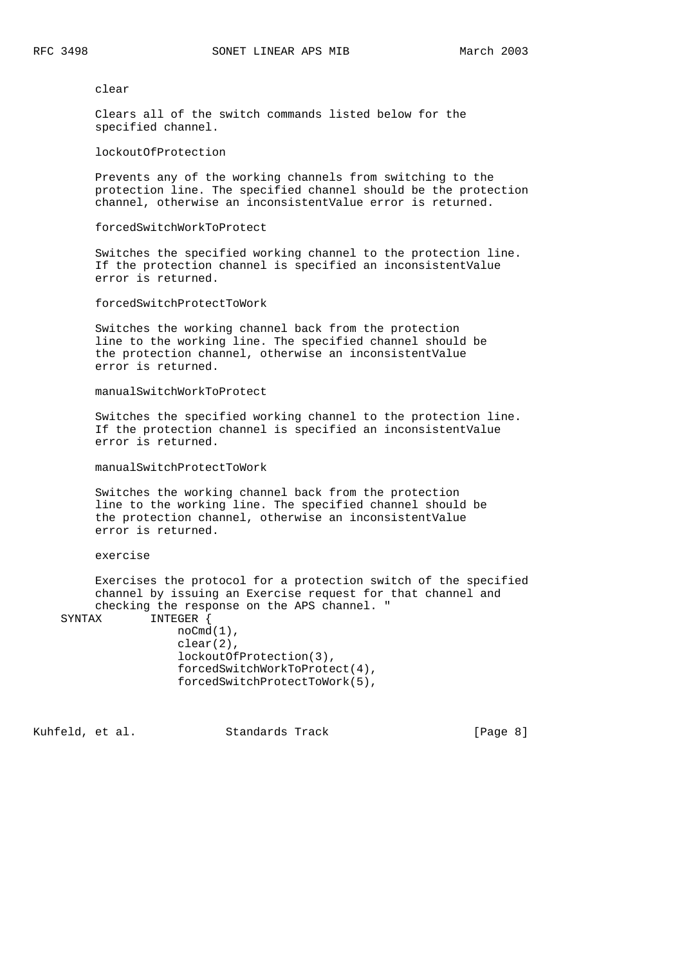#### clear

 Clears all of the switch commands listed below for the specified channel.

lockoutOfProtection

 Prevents any of the working channels from switching to the protection line. The specified channel should be the protection channel, otherwise an inconsistentValue error is returned.

#### forcedSwitchWorkToProtect

 Switches the specified working channel to the protection line. If the protection channel is specified an inconsistentValue error is returned.

forcedSwitchProtectToWork

 Switches the working channel back from the protection line to the working line. The specified channel should be the protection channel, otherwise an inconsistentValue error is returned.

#### manualSwitchWorkToProtect

 Switches the specified working channel to the protection line. If the protection channel is specified an inconsistentValue error is returned.

manualSwitchProtectToWork

 Switches the working channel back from the protection line to the working line. The specified channel should be the protection channel, otherwise an inconsistentValue error is returned.

### exercise

 Exercises the protocol for a protection switch of the specified channel by issuing an Exercise request for that channel and checking the response on the APS channel. "

SYNTAX INTEGER {

 noCmd(1), clear(2), lockoutOfProtection(3), forcedSwitchWorkToProtect(4), forcedSwitchProtectToWork(5),

Kuhfeld, et al. Standards Track [Page 8]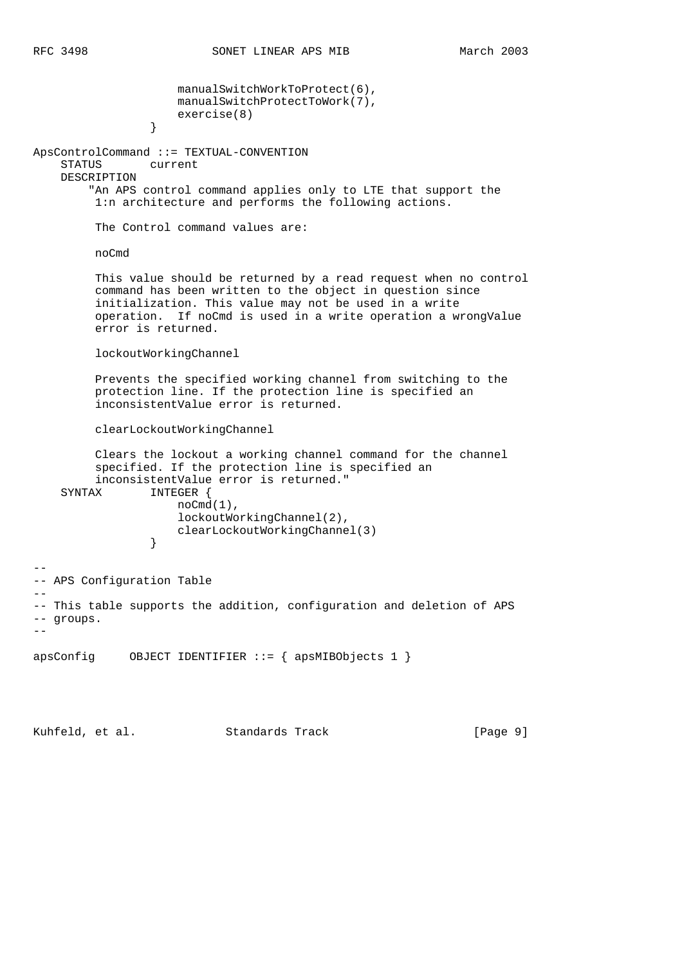manualSwitchWorkToProtect(6), manualSwitchProtectToWork(7), exercise(8)<br>} } ApsControlCommand ::= TEXTUAL-CONVENTION STATUS current DESCRIPTION "An APS control command applies only to LTE that support the 1:n architecture and performs the following actions. The Control command values are: noCmd This value should be returned by a read request when no control command has been written to the object in question since initialization. This value may not be used in a write operation. If noCmd is used in a write operation a wrongValue error is returned. lockoutWorkingChannel Prevents the specified working channel from switching to the protection line. If the protection line is specified an inconsistentValue error is returned. clearLockoutWorkingChannel Clears the lockout a working channel command for the channel specified. If the protection line is specified an inconsistentValue error is returned." SYNTAX INTEGER { noCmd(1), lockoutWorkingChannel(2), clearLockoutWorkingChannel(3) } -- -- APS Configuration Table -- -- This table supports the addition, configuration and deletion of APS -- groups. - apsConfig OBJECT IDENTIFIER  $::=$  { apsMIBObjects 1 }

Kuhfeld, et al. Standards Track [Page 9]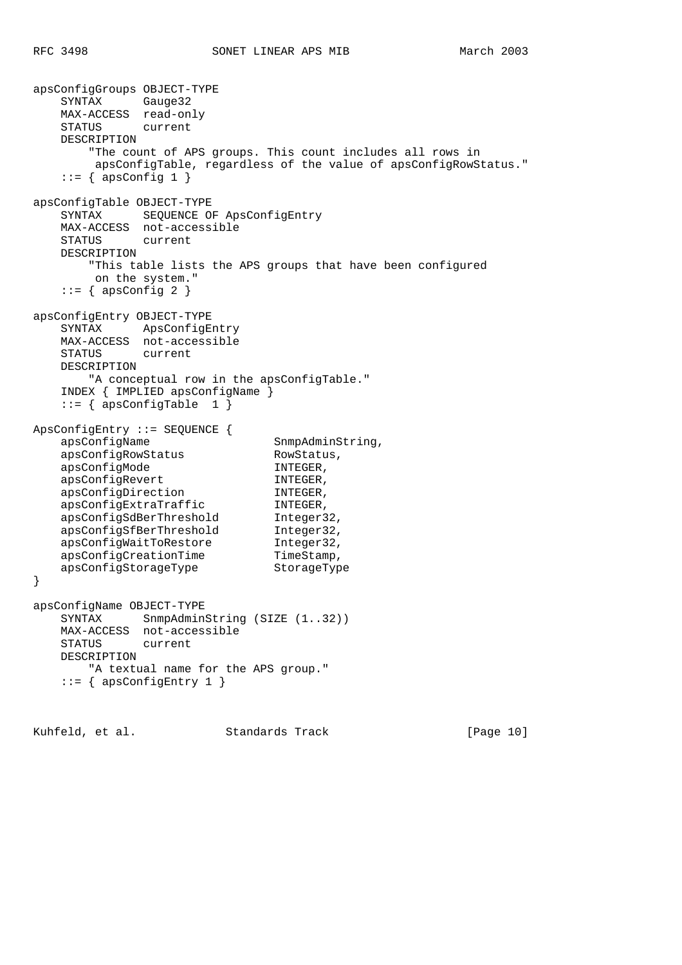apsConfigGroups OBJECT-TYPE SYNTAX Gauge32 MAX-ACCESS read-only STATUS current DESCRIPTION "The count of APS groups. This count includes all rows in apsConfigTable, regardless of the value of apsConfigRowStatus."  $::=$  { apsConfig 1 } apsConfigTable OBJECT-TYPE SYNTAX SEQUENCE OF ApsConfigEntry MAX-ACCESS not-accessible STATUS current DESCRIPTION "This table lists the APS groups that have been configured on the system."  $::=$  { apsConfig 2 } apsConfigEntry OBJECT-TYPE SYNTAX ApsConfigEntry MAX-ACCESS not-accessible STATUS current DESCRIPTION "A conceptual row in the apsConfigTable." INDEX { IMPLIED apsConfigName }  $::=$  { apsConfigTable 1 } ApsConfigEntry ::= SEQUENCE { apsConfigName SnmpAdminString, apsConfigRowStatus RowStatus, apsConfigMode TNTEGER, apsConfigRevert INTEGER, apsConfigDirection INTEGER, apsConfigExtraTraffic INTEGER, apsConfigSdBerThreshold Integer32, apsConfigSfBerThreshold Integer32, apsConfigWaitToRestore Integer32, apsConfigCreationTime TimeStamp, apsConfigStorageType StorageType } apsConfigName OBJECT-TYPE SYNTAX SnmpAdminString (SIZE (1..32)) MAX-ACCESS not-accessible STATUS current DESCRIPTION "A textual name for the APS group." ::= { apsConfigEntry 1 }

Kuhfeld, et al. Standards Track [Page 10]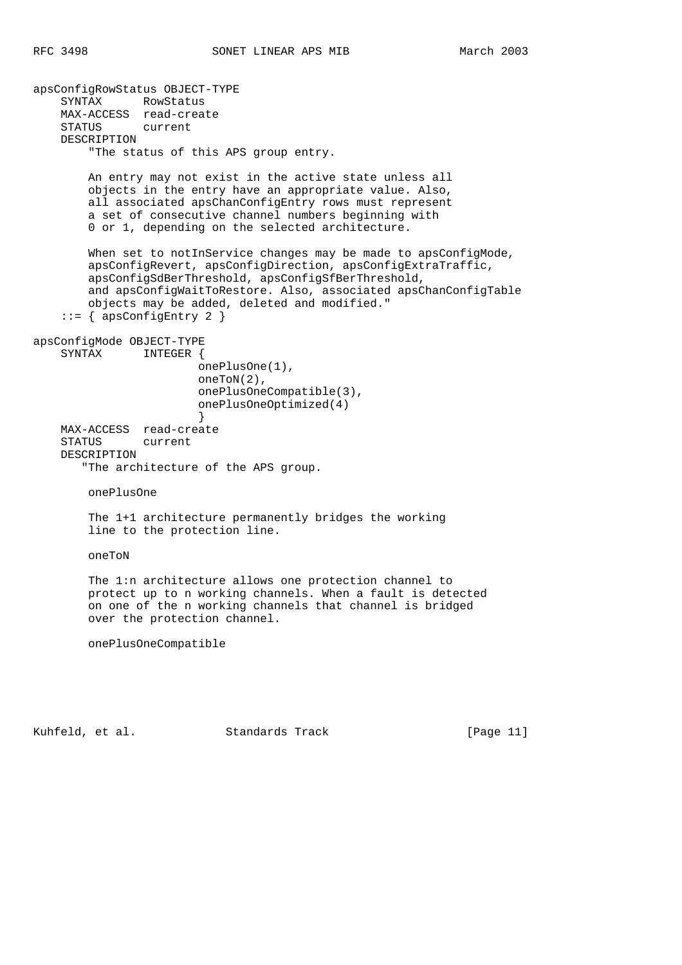apsConfigRowStatus OBJECT-TYPE SYNTAX RowStatus MAX-ACCESS read-create STATUS current DESCRIPTION "The status of this APS group entry. An entry may not exist in the active state unless all objects in the entry have an appropriate value. Also, all associated apsChanConfigEntry rows must represent a set of consecutive channel numbers beginning with 0 or 1, depending on the selected architecture. When set to notInService changes may be made to apsConfigMode, apsConfigRevert, apsConfigDirection, apsConfigExtraTraffic, apsConfigSdBerThreshold, apsConfigSfBerThreshold, and apsConfigWaitToRestore. Also, associated apsChanConfigTable objects may be added, deleted and modified."  $::=$  { apsConfigEntry 2 } apsConfigMode OBJECT-TYPE SYNTAX INTEGER { onePlusOne(1), oneToN(2), onePlusOneCompatible(3), onePlusOneOptimized(4) } MAX-ACCESS read-create STATUS current DESCRIPTION "The architecture of the APS group. onePlusOne The 1+1 architecture permanently bridges the working line to the protection line. oneToN The 1:n architecture allows one protection channel to protect up to n working channels. When a fault is detected on one of the n working channels that channel is bridged over the protection channel. onePlusOneCompatible

Kuhfeld, et al. Standards Track [Page 11]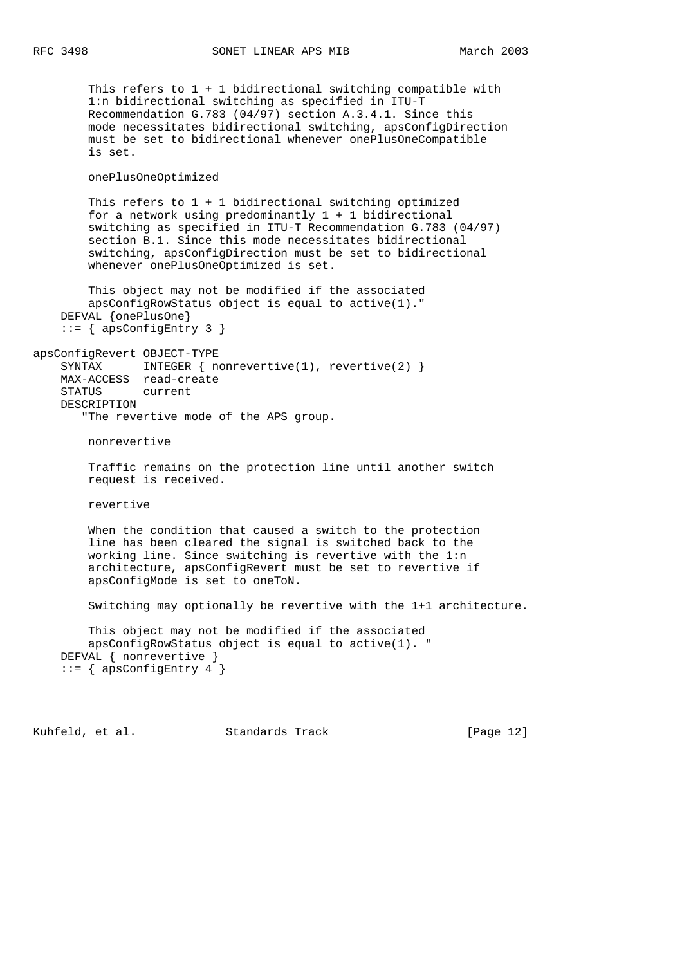This refers to  $1 + 1$  bidirectional switching compatible with 1:n bidirectional switching as specified in ITU-T Recommendation G.783 (04/97) section A.3.4.1. Since this mode necessitates bidirectional switching, apsConfigDirection must be set to bidirectional whenever onePlusOneCompatible is set. onePlusOneOptimized This refers to  $1 + 1$  bidirectional switching optimized for a network using predominantly  $1 + 1$  bidirectional switching as specified in ITU-T Recommendation G.783 (04/97) section B.1. Since this mode necessitates bidirectional switching, apsConfigDirection must be set to bidirectional whenever onePlusOneOptimized is set. This object may not be modified if the associated apsConfigRowStatus object is equal to active(1)." DEFVAL {onePlusOne}  $::=$  { apsConfigEntry 3 } apsConfigRevert OBJECT-TYPE SYNTAX INTEGER { nonrevertive(1), revertive(2) } MAX-ACCESS read-create STATUS current DESCRIPTION "The revertive mode of the APS group. nonrevertive Traffic remains on the protection line until another switch request is received. revertive When the condition that caused a switch to the protection line has been cleared the signal is switched back to the working line. Since switching is revertive with the 1:n architecture, apsConfigRevert must be set to revertive if apsConfigMode is set to oneToN. Switching may optionally be revertive with the 1+1 architecture. This object may not be modified if the associated apsConfigRowStatus object is equal to active(1). " DEFVAL { nonrevertive } ::= { apsConfigEntry 4 }

Kuhfeld, et al. Standards Track [Page 12]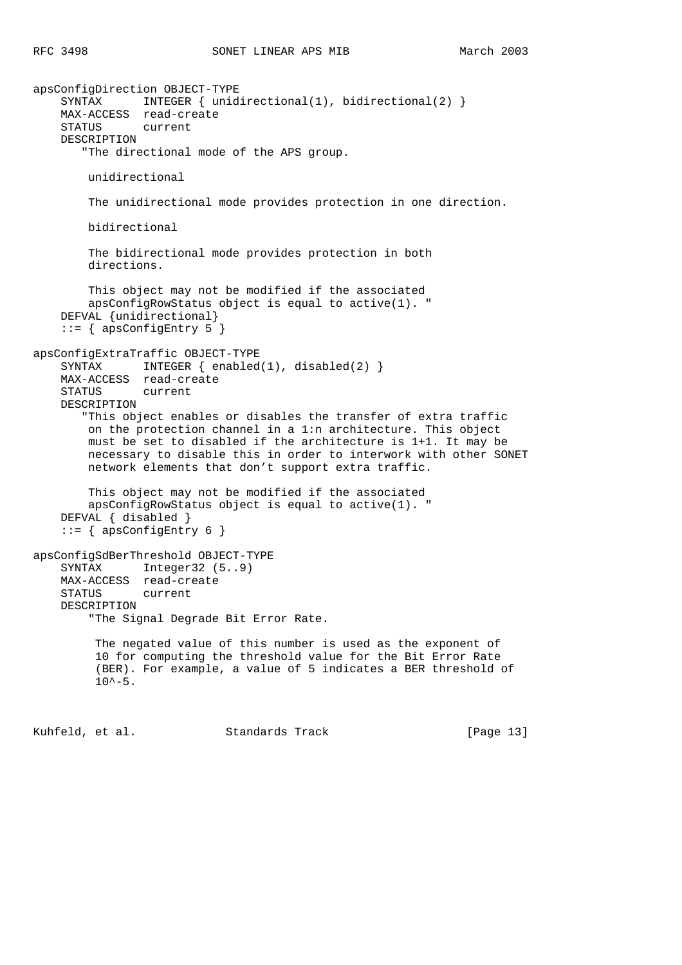apsConfigDirection OBJECT-TYPE SYNTAX INTEGER { unidirectional(1), bidirectional(2) } MAX-ACCESS read-create STATUS current DESCRIPTION "The directional mode of the APS group. unidirectional The unidirectional mode provides protection in one direction. bidirectional The bidirectional mode provides protection in both directions. This object may not be modified if the associated apsConfigRowStatus object is equal to active(1). " DEFVAL {unidirectional}  $::=$  { apsConfigEntry 5 } apsConfigExtraTraffic OBJECT-TYPE SYNTAX INTEGER { enabled(1), disabled(2) } MAX-ACCESS read-create STATUS current DESCRIPTION "This object enables or disables the transfer of extra traffic on the protection channel in a 1:n architecture. This object must be set to disabled if the architecture is 1+1. It may be necessary to disable this in order to interwork with other SONET network elements that don't support extra traffic. This object may not be modified if the associated apsConfigRowStatus object is equal to active(1). " DEFVAL { disabled } ::= { apsConfigEntry 6 } apsConfigSdBerThreshold OBJECT-TYPE SYNTAX Integer32 (5..9) MAX-ACCESS read-create STATUS current DESCRIPTION "The Signal Degrade Bit Error Rate. The negated value of this number is used as the exponent of 10 for computing the threshold value for the Bit Error Rate (BER). For example, a value of 5 indicates a BER threshold of  $10^{\lambda - 5}$ . Kuhfeld, et al. Standards Track [Page 13]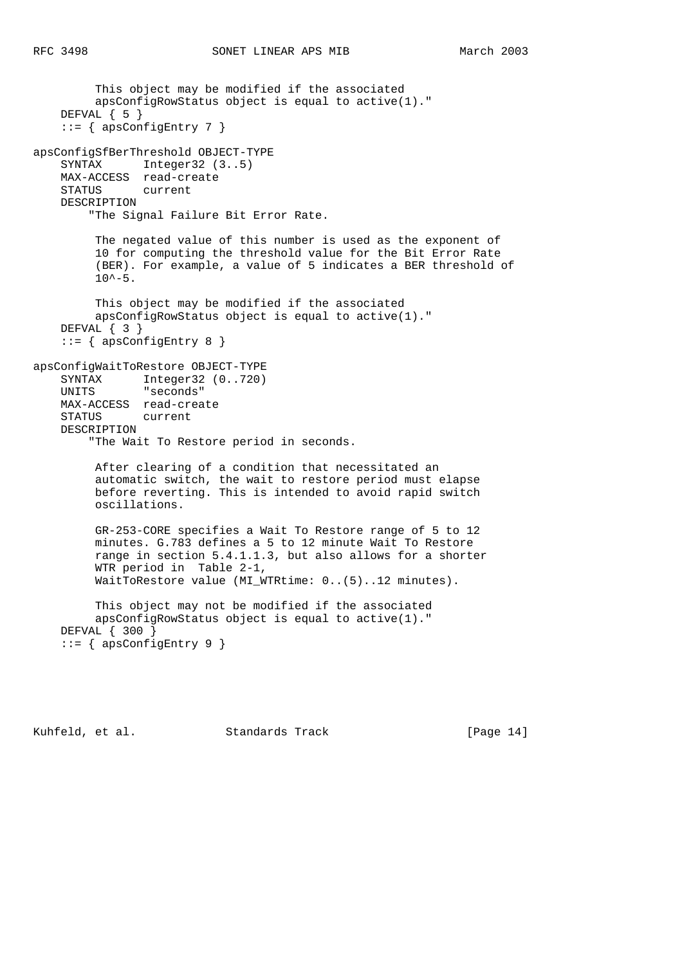```
 This object may be modified if the associated
         apsConfigRowStatus object is equal to active(1)."
    DEFVAL { 5 }
   ::= { apsConfigEntry 7 }
apsConfigSfBerThreshold OBJECT-TYPE
    SYNTAX Integer32 (3..5)
    MAX-ACCESS read-create
    STATUS current
    DESCRIPTION
         "The Signal Failure Bit Error Rate.
         The negated value of this number is used as the exponent of
         10 for computing the threshold value for the Bit Error Rate
          (BER). For example, a value of 5 indicates a BER threshold of
        10^{\lambda - 5}.
         This object may be modified if the associated
         apsConfigRowStatus object is equal to active(1)."
    DEFVAL { 3 }
    ::= { apsConfigEntry 8 }
apsConfigWaitToRestore OBJECT-TYPE
 SYNTAX Integer32 (0..720)
 UNITS "seconds"
    MAX-ACCESS read-create
    STATUS current
    DESCRIPTION
         "The Wait To Restore period in seconds.
         After clearing of a condition that necessitated an
         automatic switch, the wait to restore period must elapse
         before reverting. This is intended to avoid rapid switch
         oscillations.
```
 GR-253-CORE specifies a Wait To Restore range of 5 to 12 minutes. G.783 defines a 5 to 12 minute Wait To Restore range in section 5.4.1.1.3, but also allows for a shorter WTR period in Table 2-1, WaitToRestore value (MI\_WTRtime: 0..(5)..12 minutes).

 This object may not be modified if the associated apsConfigRowStatus object is equal to active(1)." DEFVAL { 300 } ::= { apsConfigEntry 9 }

Kuhfeld, et al. Standards Track [Page 14]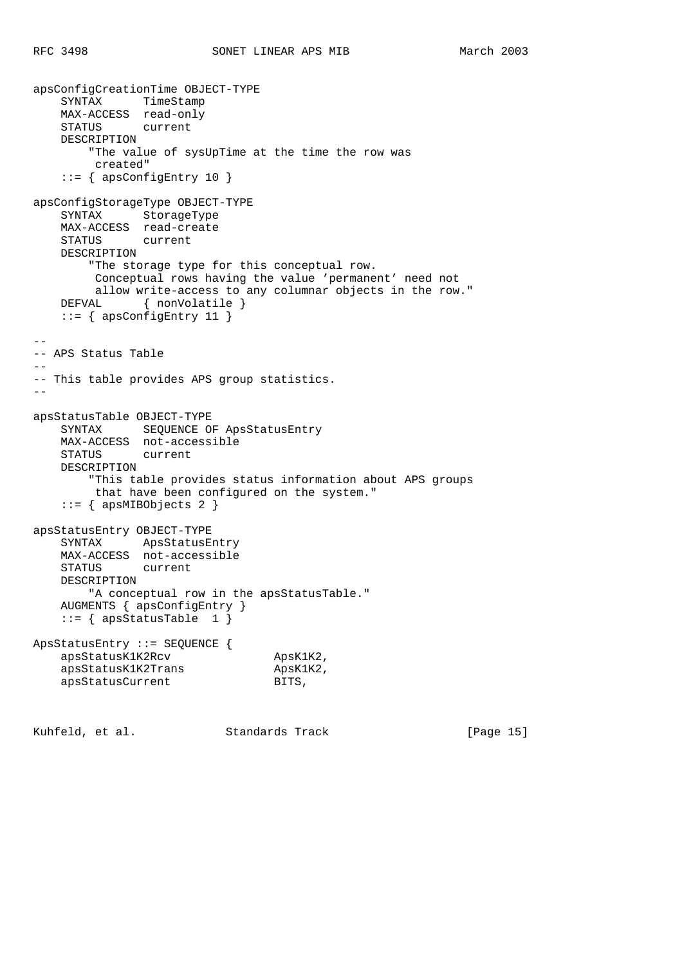```
apsConfigCreationTime OBJECT-TYPE
    SYNTAX TimeStamp
    MAX-ACCESS read-only
    STATUS current
    DESCRIPTION
         "The value of sysUpTime at the time the row was
         created"
     ::= { apsConfigEntry 10 }
apsConfigStorageType OBJECT-TYPE
    SYNTAX StorageType
    MAX-ACCESS read-create
    STATUS current
    DESCRIPTION
         "The storage type for this conceptual row.
         Conceptual rows having the value 'permanent' need not
         allow write-access to any columnar objects in the row."
   DEFVAL { nonVolatile }
   ::= { apsConfigEntry 11 }
--
-- APS Status Table
--- This table provides APS group statistics.
--
apsStatusTable OBJECT-TYPE
    SYNTAX SEQUENCE OF ApsStatusEntry
    MAX-ACCESS not-accessible
    STATUS current
    DESCRIPTION
         "This table provides status information about APS groups
         that have been configured on the system."
     ::= { apsMIBObjects 2 }
apsStatusEntry OBJECT-TYPE
    SYNTAX ApsStatusEntry
    MAX-ACCESS not-accessible
    STATUS current
    DESCRIPTION
        "A conceptual row in the apsStatusTable."
    AUGMENTS { apsConfigEntry }
   ::= { apsStatusTable 1 }
ApsStatusEntry ::= SEQUENCE {
    apsStatusK1K2Rcv ApsK1K2,
   apsStatusK1K2Trans ApsK1<br>apsStatusCurrent BITS,
   apsStatusCurrent
```
Kuhfeld, et al. Standards Track [Page 15]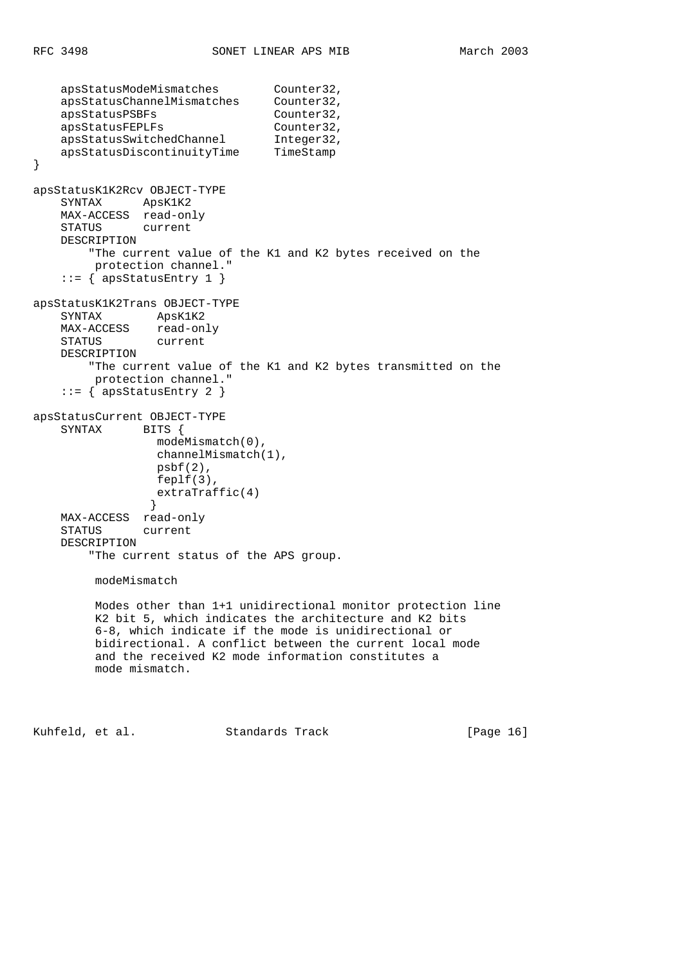```
 apsStatusModeMismatches Counter32,
 apsStatusChannelMismatches Counter32,
apsStatusPSBFs Counter32,
apsStatusFEPLFs Counter32,
apsStatusSwitchedChannel 1nteger32,
 apsStatusDiscontinuityTime TimeStamp
}
apsStatusK1K2Rcv OBJECT-TYPE
    SYNTAX ApsK1K2
    MAX-ACCESS read-only
    STATUS current
    DESCRIPTION
        "The current value of the K1 and K2 bytes received on the
         protection channel."
   ::= { apsStatusEntry 1 }
apsStatusK1K2Trans OBJECT-TYPE
    SYNTAX ApsK1K2
   MAX-ACCESS read-only<br>STATUS current
   STATUS
    DESCRIPTION
        "The current value of the K1 and K2 bytes transmitted on the
         protection channel."
   ::= { apsStatusEntry 2 }
apsStatusCurrent OBJECT-TYPE
   SYNTAX BITS {
                 modeMismatch(0),
                 channelMismatch(1),
                 psbf(2),
                 feplf(3),
               extraTraffic(4)<br>}
 }
    MAX-ACCESS read-only
    STATUS current
    DESCRIPTION
        "The current status of the APS group.
         modeMismatch
         Modes other than 1+1 unidirectional monitor protection line
         K2 bit 5, which indicates the architecture and K2 bits
         6-8, which indicate if the mode is unidirectional or
         bidirectional. A conflict between the current local mode
         and the received K2 mode information constitutes a
         mode mismatch.
```
Kuhfeld, et al. Standards Track [Page 16]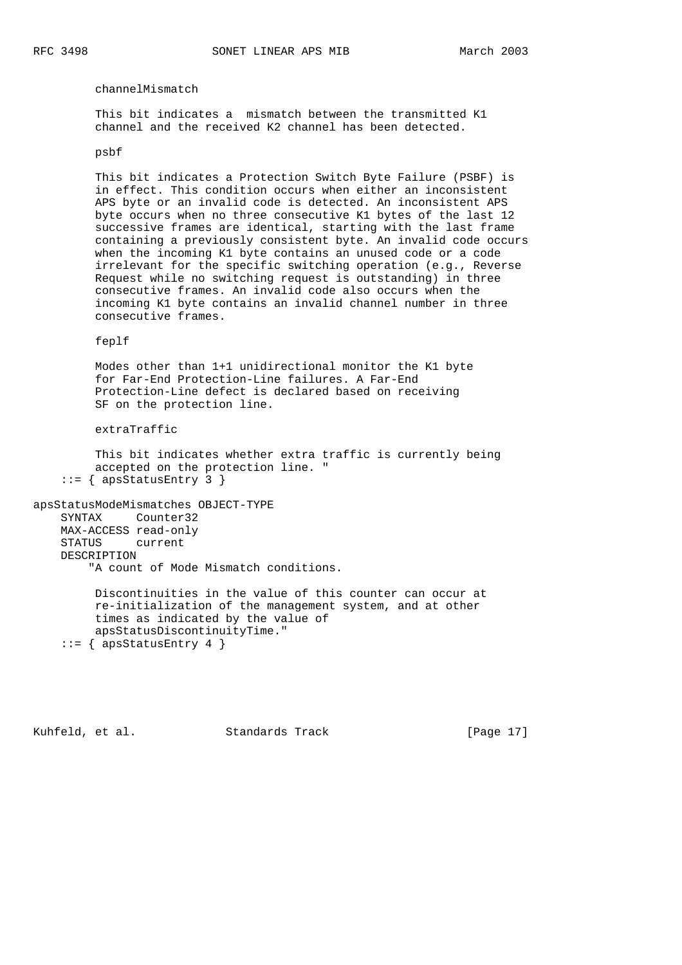channelMismatch

 This bit indicates a mismatch between the transmitted K1 channel and the received K2 channel has been detected.

### psbf

 This bit indicates a Protection Switch Byte Failure (PSBF) is in effect. This condition occurs when either an inconsistent APS byte or an invalid code is detected. An inconsistent APS byte occurs when no three consecutive K1 bytes of the last 12 successive frames are identical, starting with the last frame containing a previously consistent byte. An invalid code occurs when the incoming K1 byte contains an unused code or a code irrelevant for the specific switching operation (e.g., Reverse Request while no switching request is outstanding) in three consecutive frames. An invalid code also occurs when the incoming K1 byte contains an invalid channel number in three consecutive frames.

### feplf

 Modes other than 1+1 unidirectional monitor the K1 byte for Far-End Protection-Line failures. A Far-End Protection-Line defect is declared based on receiving SF on the protection line.

extraTraffic

 This bit indicates whether extra traffic is currently being accepted on the protection line. "  $::=$  { apsStatusEntry 3 }

apsStatusModeMismatches OBJECT-TYPE SYNTAX Counter32 MAX-ACCESS read-only STATUS current DESCRIPTION "A count of Mode Mismatch conditions.

 Discontinuities in the value of this counter can occur at re-initialization of the management system, and at other times as indicated by the value of apsStatusDiscontinuityTime."  $::=$  { apsStatusEntry 4 }

Kuhfeld, et al. Standards Track [Page 17]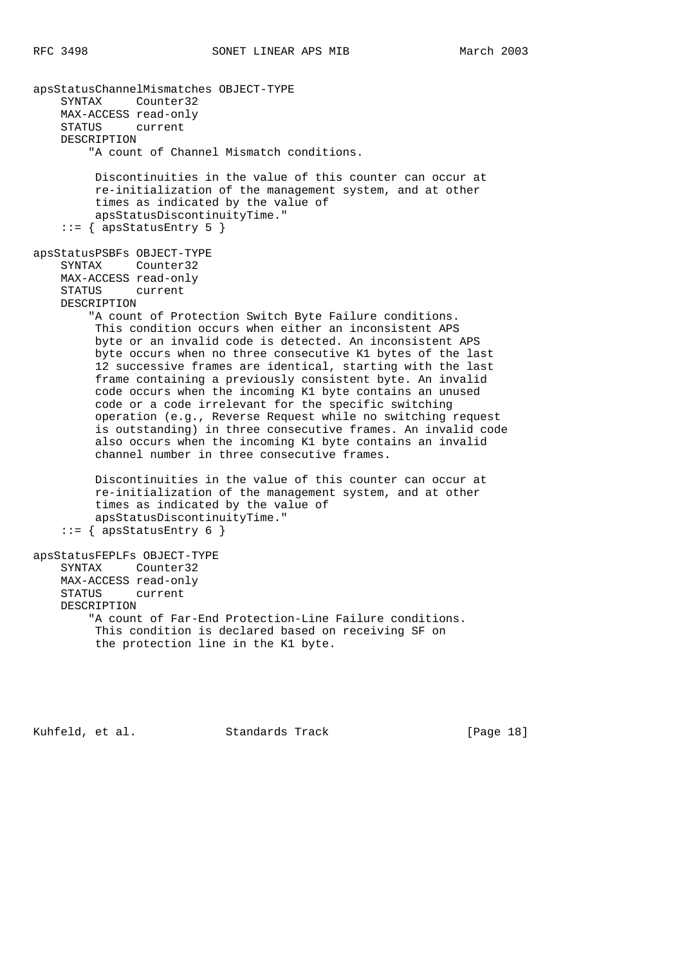```
apsStatusChannelMismatches OBJECT-TYPE
     SYNTAX Counter32
    MAX-ACCESS read-only
    STATUS current
    DESCRIPTION
         "A count of Channel Mismatch conditions.
         Discontinuities in the value of this counter can occur at
         re-initialization of the management system, and at other
         times as indicated by the value of
         apsStatusDiscontinuityTime."
    ::= { apsStatusEntry 5 }
apsStatusPSBFs OBJECT-TYPE
    SYNTAX Counter32
    MAX-ACCESS read-only
    STATUS current
    DESCRIPTION
         "A count of Protection Switch Byte Failure conditions.
         This condition occurs when either an inconsistent APS
         byte or an invalid code is detected. An inconsistent APS
         byte occurs when no three consecutive K1 bytes of the last
         12 successive frames are identical, starting with the last
         frame containing a previously consistent byte. An invalid
         code occurs when the incoming K1 byte contains an unused
         code or a code irrelevant for the specific switching
         operation (e.g., Reverse Request while no switching request
         is outstanding) in three consecutive frames. An invalid code
         also occurs when the incoming K1 byte contains an invalid
         channel number in three consecutive frames.
         Discontinuities in the value of this counter can occur at
         re-initialization of the management system, and at other
         times as indicated by the value of
         apsStatusDiscontinuityTime."
    ::= { apsStatusEntry 6 }
apsStatusFEPLFs OBJECT-TYPE
    SYNTAX Counter32
    MAX-ACCESS read-only
    STATUS current
    DESCRIPTION
         "A count of Far-End Protection-Line Failure conditions.
         This condition is declared based on receiving SF on
         the protection line in the K1 byte.
```
Kuhfeld, et al. Standards Track [Page 18]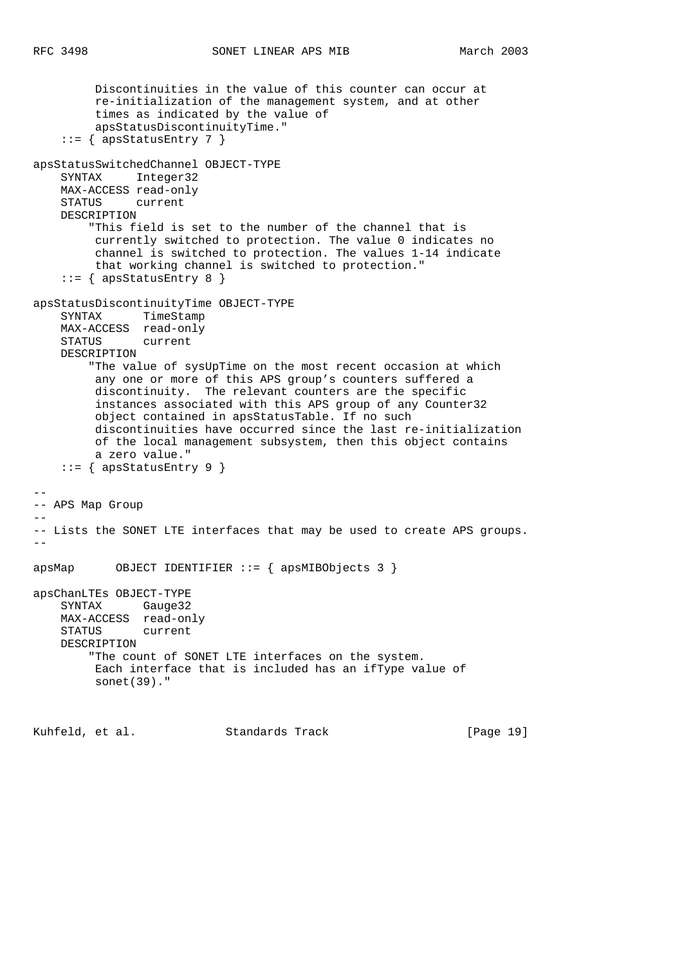```
 Discontinuities in the value of this counter can occur at
         re-initialization of the management system, and at other
          times as indicated by the value of
         apsStatusDiscontinuityTime."
    ::= { apsStatusEntry 7 }
apsStatusSwitchedChannel OBJECT-TYPE
    SYNTAX Integer32
    MAX-ACCESS read-only
    STATUS current
    DESCRIPTION
         "This field is set to the number of the channel that is
         currently switched to protection. The value 0 indicates no
         channel is switched to protection. The values 1-14 indicate
         that working channel is switched to protection."
    ::= { apsStatusEntry 8 }
apsStatusDiscontinuityTime OBJECT-TYPE
    SYNTAX TimeStamp
    MAX-ACCESS read-only
    STATUS current
    DESCRIPTION
         "The value of sysUpTime on the most recent occasion at which
         any one or more of this APS group's counters suffered a
         discontinuity. The relevant counters are the specific
         instances associated with this APS group of any Counter32
         object contained in apsStatusTable. If no such
         discontinuities have occurred since the last re-initialization
         of the local management subsystem, then this object contains
         a zero value."
     ::= { apsStatusEntry 9 }
--
-- APS Map Group
--- Lists the SONET LTE interfaces that may be used to create APS groups.
-apsMap OBJECT IDENTIFIER ::= { apsMIBObjects 3 }
apsChanLTEs OBJECT-TYPE
    SYNTAX Gauge32
    MAX-ACCESS read-only
    STATUS current
    DESCRIPTION
         "The count of SONET LTE interfaces on the system.
         Each interface that is included has an ifType value of
         sonet(39)."
Kuhfeld, et al. Standards Track [Page 19]
```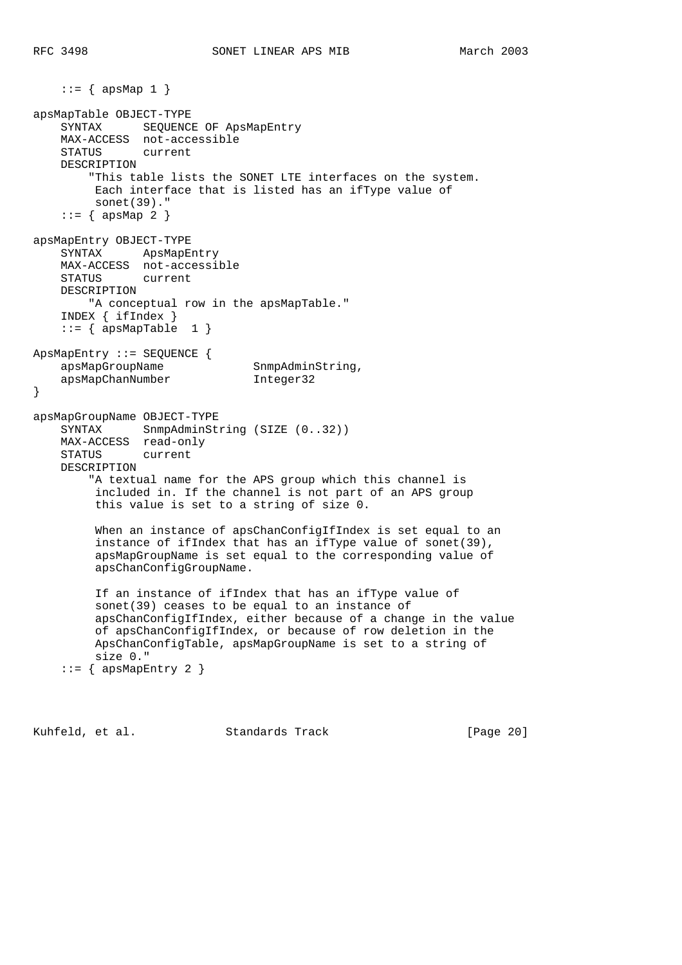$::=$  { apsMap 1 } apsMapTable OBJECT-TYPE SYNTAX SEQUENCE OF ApsMapEntry MAX-ACCESS not-accessible STATUS current DESCRIPTION "This table lists the SONET LTE interfaces on the system. Each interface that is listed has an ifType value of sonet(39)."  $::=$  { apsMap 2 } apsMapEntry OBJECT-TYPE SYNTAX ApsMapEntry MAX-ACCESS not-accessible STATUS current DESCRIPTION "A conceptual row in the apsMapTable." INDEX { ifIndex }  $::=$  { apsMapTable 1 } ApsMapEntry ::= SEQUENCE { apsMapGroupName SnmpAdminString, apsMapChanNumber Integer32 } apsMapGroupName OBJECT-TYPE SYNTAX SnmpAdminString (SIZE (0..32)) MAX-ACCESS read-only STATUS current DESCRIPTION "A textual name for the APS group which this channel is included in. If the channel is not part of an APS group this value is set to a string of size 0. When an instance of apsChanConfigIfIndex is set equal to an instance of ifIndex that has an ifType value of sonet(39), apsMapGroupName is set equal to the corresponding value of apsChanConfigGroupName. If an instance of ifIndex that has an ifType value of sonet(39) ceases to be equal to an instance of apsChanConfigIfIndex, either because of a change in the value of apsChanConfigIfIndex, or because of row deletion in the ApsChanConfigTable, apsMapGroupName is set to a string of size 0."  $::=$  { apsMapEntry 2 }

Kuhfeld, et al. Standards Track [Page 20]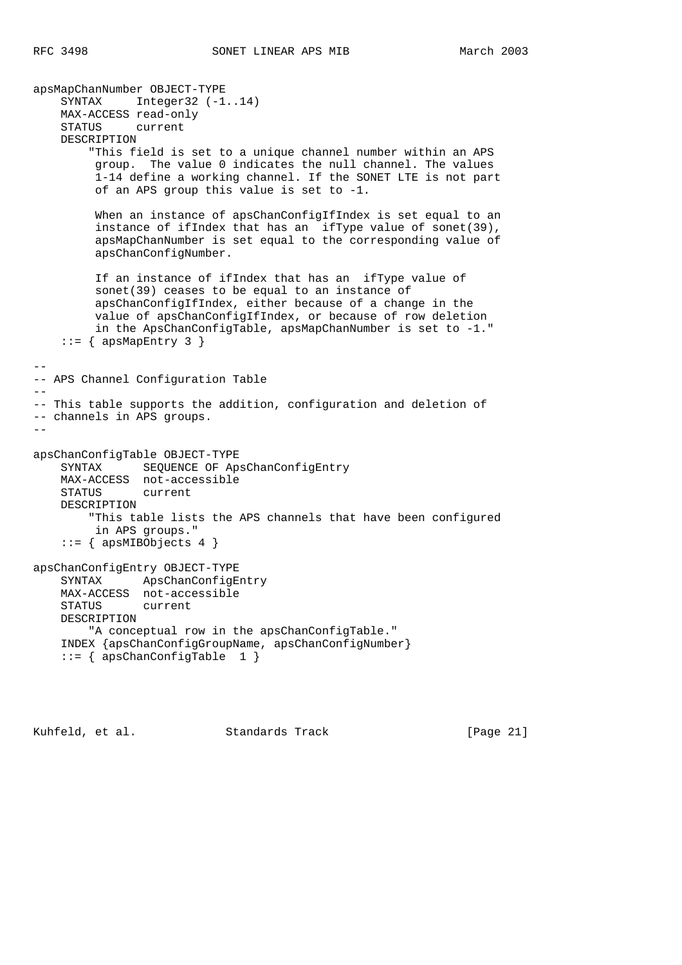apsMapChanNumber OBJECT-TYPE SYNTAX Integer32 (-1..14) MAX-ACCESS read-only STATUS current DESCRIPTION "This field is set to a unique channel number within an APS group. The value 0 indicates the null channel. The values 1-14 define a working channel. If the SONET LTE is not part of an APS group this value is set to -1. When an instance of apsChanConfigIfIndex is set equal to an instance of ifIndex that has an ifType value of sonet(39), apsMapChanNumber is set equal to the corresponding value of apsChanConfigNumber. If an instance of ifIndex that has an ifType value of sonet(39) ceases to be equal to an instance of apsChanConfigIfIndex, either because of a change in the value of apsChanConfigIfIndex, or because of row deletion in the ApsChanConfigTable, apsMapChanNumber is set to -1."  $::=$  { apsMapEntry 3 } -- -- APS Channel Configuration Table  $-$ -- This table supports the addition, configuration and deletion of -- channels in APS groups. - apsChanConfigTable OBJECT-TYPE SYNTAX SEQUENCE OF ApsChanConfigEntry MAX-ACCESS not-accessible STATUS current DESCRIPTION "This table lists the APS channels that have been configured in APS groups."  $::=$  { apsMIBObjects 4 } apsChanConfigEntry OBJECT-TYPE SYNTAX ApsChanConfigEntry MAX-ACCESS not-accessible STATUS current DESCRIPTION "A conceptual row in the apsChanConfigTable." INDEX {apsChanConfigGroupName, apsChanConfigNumber}  $::=$  { apsChanConfigTable 1 }

Kuhfeld, et al. Standards Track [Page 21]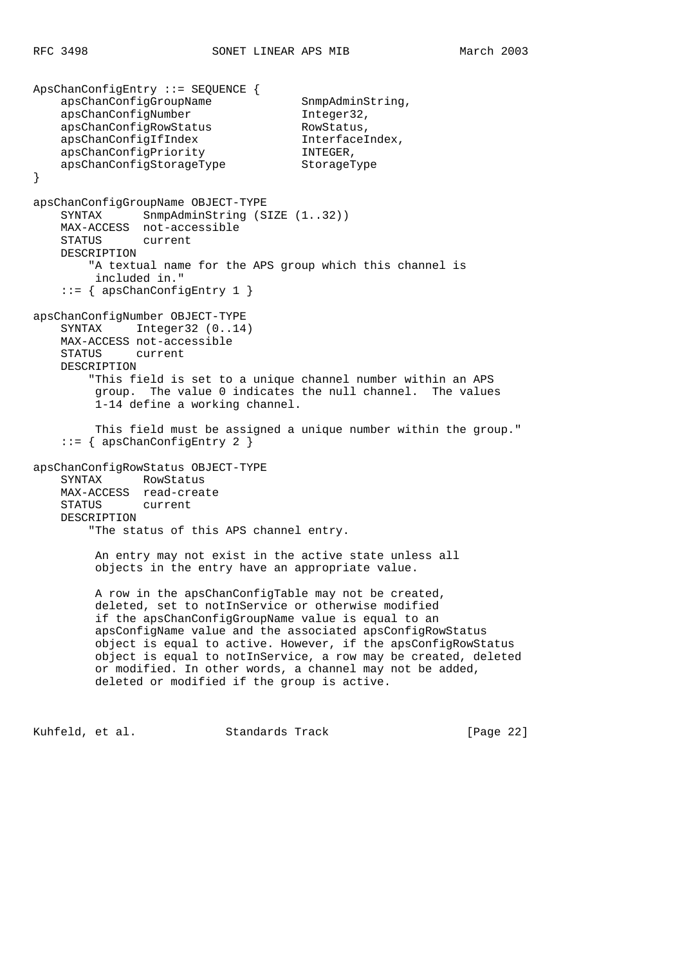ApsChanConfigEntry ::= SEQUENCE { apsChanConfigGroupName SnmpAdminString, apsChanConfigNumber Integer32, apsChanConfigRowStatus RowStatus,<br>apsChanConfigIfIndex InterfaceIndex, apsChanConfigIfIndex Interface<br>apsChanConfigPriority INTEGER, apsChanConfigPriority apsChanConfigStorageType StorageType } apsChanConfigGroupName OBJECT-TYPE SYNTAX SnmpAdminString (SIZE (1..32)) MAX-ACCESS not-accessible STATUS current DESCRIPTION "A textual name for the APS group which this channel is included in." ::= { apsChanConfigEntry 1 } apsChanConfigNumber OBJECT-TYPE SYNTAX Integer32 (0..14) MAX-ACCESS not-accessible STATUS current DESCRIPTION "This field is set to a unique channel number within an APS group. The value 0 indicates the null channel. The values 1-14 define a working channel. This field must be assigned a unique number within the group." ::= { apsChanConfigEntry 2 } apsChanConfigRowStatus OBJECT-TYPE SYNTAX RowStatus MAX-ACCESS read-create STATUS current DESCRIPTION "The status of this APS channel entry. An entry may not exist in the active state unless all objects in the entry have an appropriate value. A row in the apsChanConfigTable may not be created, deleted, set to notInService or otherwise modified if the apsChanConfigGroupName value is equal to an apsConfigName value and the associated apsConfigRowStatus object is equal to active. However, if the apsConfigRowStatus object is equal to notInService, a row may be created, deleted or modified. In other words, a channel may not be added, deleted or modified if the group is active.

Kuhfeld, et al. Standards Track [Page 22]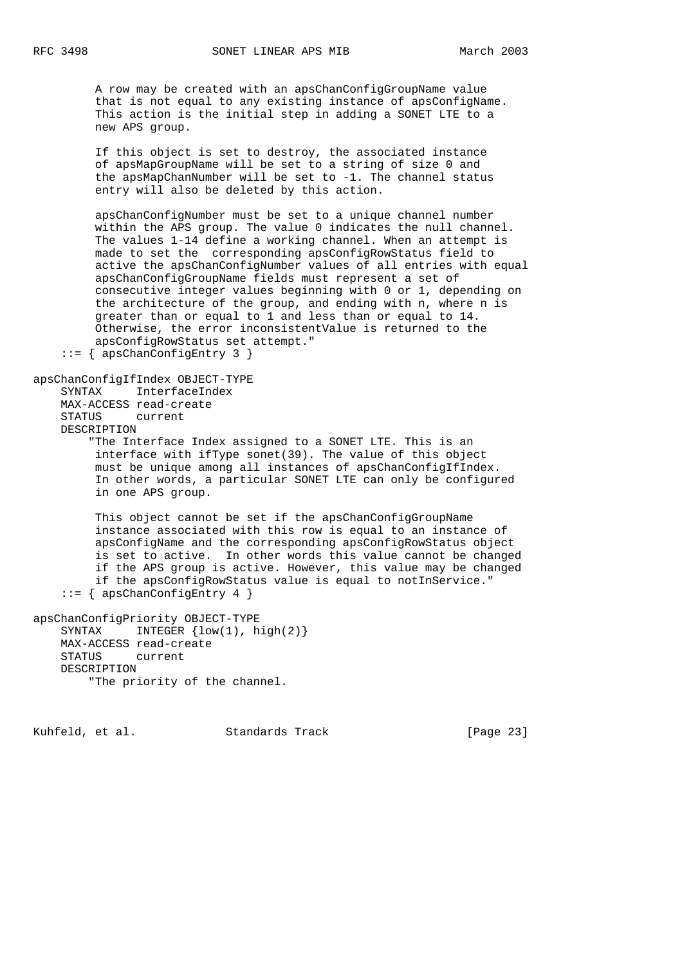A row may be created with an apsChanConfigGroupName value that is not equal to any existing instance of apsConfigName. This action is the initial step in adding a SONET LTE to a new APS group.

 If this object is set to destroy, the associated instance of apsMapGroupName will be set to a string of size 0 and the apsMapChanNumber will be set to -1. The channel status entry will also be deleted by this action.

 apsChanConfigNumber must be set to a unique channel number within the APS group. The value 0 indicates the null channel. The values 1-14 define a working channel. When an attempt is made to set the corresponding apsConfigRowStatus field to active the apsChanConfigNumber values of all entries with equal apsChanConfigGroupName fields must represent a set of consecutive integer values beginning with 0 or 1, depending on the architecture of the group, and ending with n, where n is greater than or equal to 1 and less than or equal to 14. Otherwise, the error inconsistentValue is returned to the apsConfigRowStatus set attempt."

::= { apsChanConfigEntry 3 }

apsChanConfigIfIndex OBJECT-TYPE SYNTAX InterfaceIndex

MAX-ACCESS read-create

STATUS current

DESCRIPTION

 "The Interface Index assigned to a SONET LTE. This is an interface with ifType sonet(39). The value of this object must be unique among all instances of apsChanConfigIfIndex. In other words, a particular SONET LTE can only be configured in one APS group.

 This object cannot be set if the apsChanConfigGroupName instance associated with this row is equal to an instance of apsConfigName and the corresponding apsConfigRowStatus object is set to active. In other words this value cannot be changed if the APS group is active. However, this value may be changed if the apsConfigRowStatus value is equal to notInService." ::= { apsChanConfigEntry 4 }

```
apsChanConfigPriority OBJECT-TYPE
   SYNTAX INTEGER \{low(1), high(2)\}\ MAX-ACCESS read-create
     STATUS current
    DESCRIPTION
         "The priority of the channel.
```
Kuhfeld, et al. Standards Track [Page 23]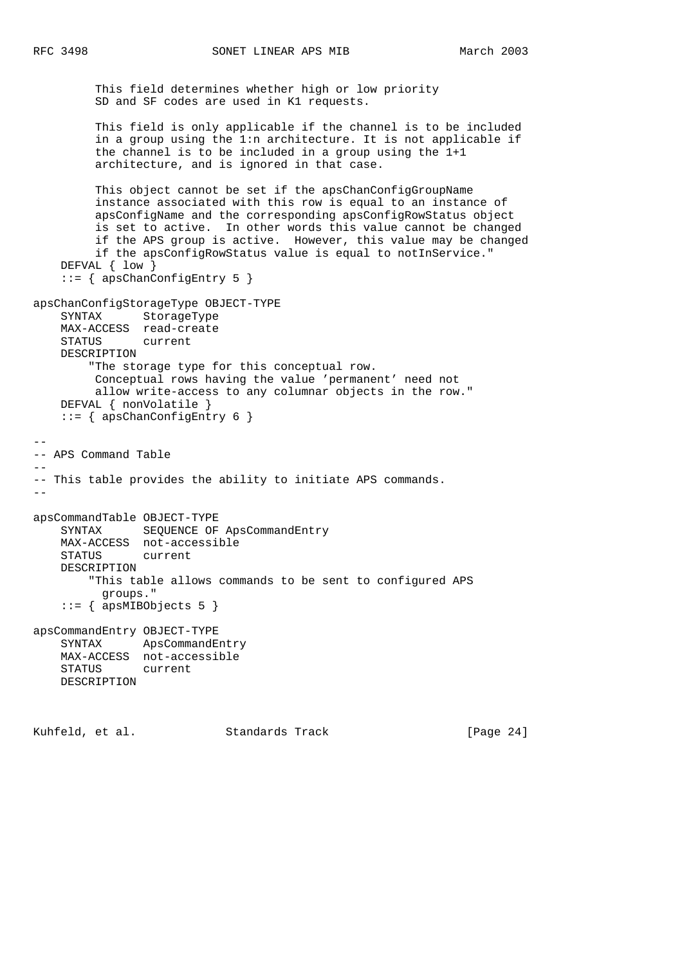This field determines whether high or low priority SD and SF codes are used in K1 requests. This field is only applicable if the channel is to be included in a group using the 1:n architecture. It is not applicable if the channel is to be included in a group using the 1+1 architecture, and is ignored in that case. This object cannot be set if the apsChanConfigGroupName instance associated with this row is equal to an instance of apsConfigName and the corresponding apsConfigRowStatus object is set to active. In other words this value cannot be changed if the APS group is active. However, this value may be changed if the apsConfigRowStatus value is equal to notInService." DEFVAL { low } ::= { apsChanConfigEntry 5 } apsChanConfigStorageType OBJECT-TYPE SYNTAX StorageType MAX-ACCESS read-create STATUS current DESCRIPTION "The storage type for this conceptual row. Conceptual rows having the value 'permanent' need not allow write-access to any columnar objects in the row." DEFVAL { nonVolatile } ::= { apsChanConfigEntry 6 } -- -- APS Command Table -- -- This table provides the ability to initiate APS commands.  $$ apsCommandTable OBJECT-TYPE SYNTAX SEQUENCE OF ApsCommandEntry MAX-ACCESS not-accessible STATUS current DESCRIPTION "This table allows commands to be sent to configured APS groups."  $::=$  { apsMIBObjects 5 } apsCommandEntry OBJECT-TYPE SYNTAX ApsCommandEntry MAX-ACCESS not-accessible STATUS current DESCRIPTION

Kuhfeld, et al. Standards Track [Page 24]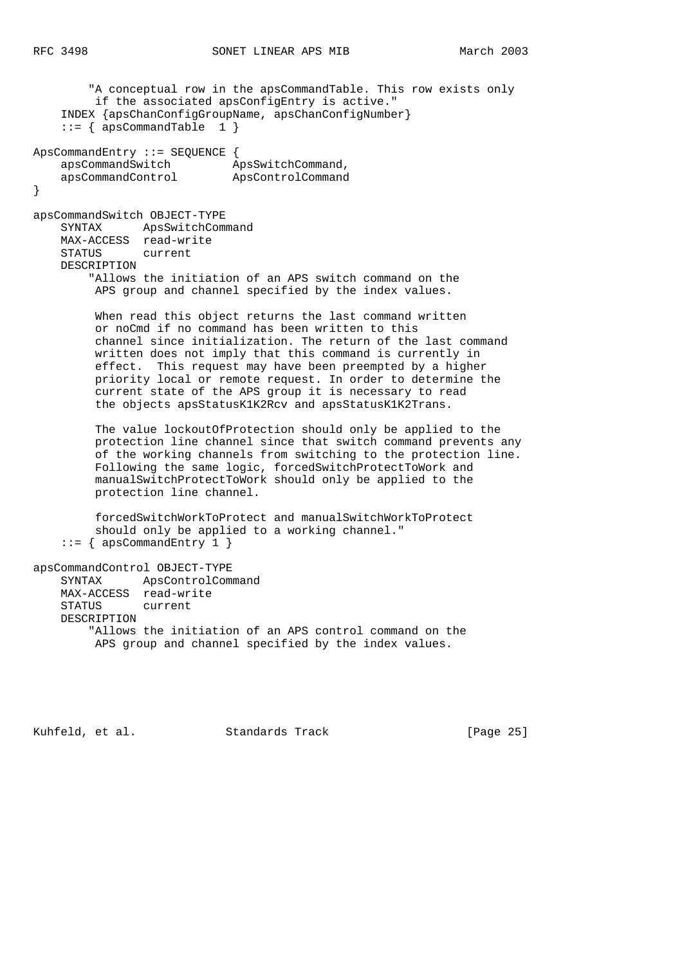"A conceptual row in the apsCommandTable. This row exists only if the associated apsConfigEntry is active." INDEX {apsChanConfigGroupName, apsChanConfigNumber}  $::=$  { apsCommandTable 1 } ApsCommandEntry ::= SEQUENCE { apsCommandSwitch ApsSwitchCommand, apsCommandControl ApsControlCommand } apsCommandSwitch OBJECT-TYPE SYNTAX ApsSwitchCommand MAX-ACCESS read-write STATUS current DESCRIPTION "Allows the initiation of an APS switch command on the APS group and channel specified by the index values. When read this object returns the last command written or noCmd if no command has been written to this channel since initialization. The return of the last command written does not imply that this command is currently in effect. This request may have been preempted by a higher priority local or remote request. In order to determine the current state of the APS group it is necessary to read the objects apsStatusK1K2Rcv and apsStatusK1K2Trans. The value lockoutOfProtection should only be applied to the protection line channel since that switch command prevents any of the working channels from switching to the protection line. Following the same logic, forcedSwitchProtectToWork and manualSwitchProtectToWork should only be applied to the protection line channel. forcedSwitchWorkToProtect and manualSwitchWorkToProtect should only be applied to a working channel."  $::=$  { apsCommandEntry 1 } apsCommandControl OBJECT-TYPE SYNTAX ApsControlCommand MAX-ACCESS read-write STATUS current DESCRIPTION "Allows the initiation of an APS control command on the APS group and channel specified by the index values.

Kuhfeld, et al. Standards Track [Page 25]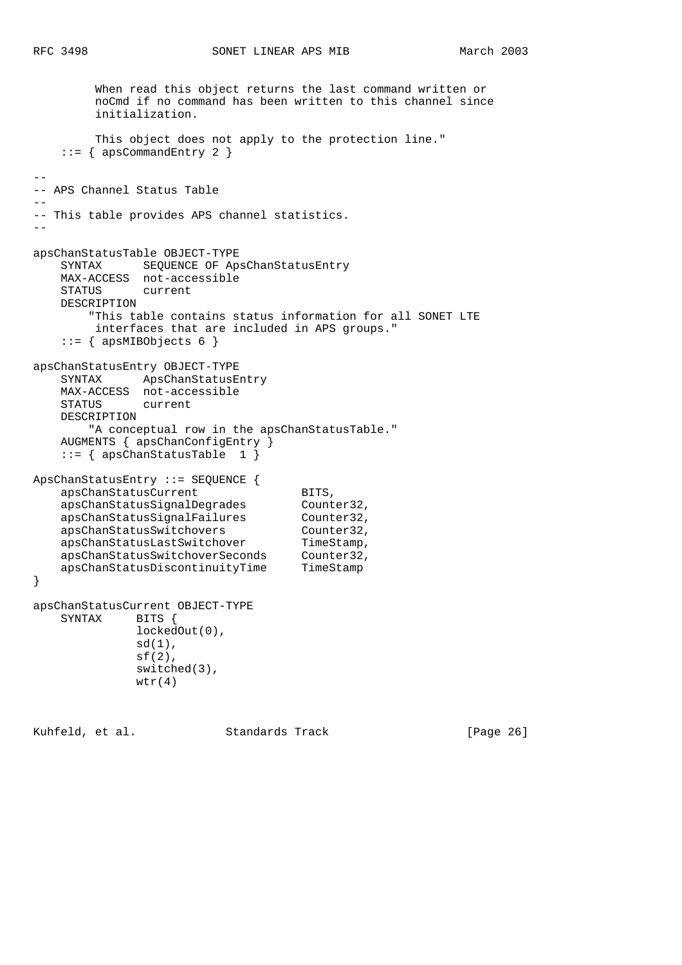When read this object returns the last command written or noCmd if no command has been written to this channel since initialization. This object does not apply to the protection line."  $::=$  { apsCommandEntry 2 } -- -- APS Channel Status Table -- -- This table provides APS channel statistics. - apsChanStatusTable OBJECT-TYPE SYNTAX SEQUENCE OF ApsChanStatusEntry MAX-ACCESS not-accessible STATUS current DESCRIPTION "This table contains status information for all SONET LTE interfaces that are included in APS groups."  $::=$  { apsMIBObjects 6 } apsChanStatusEntry OBJECT-TYPE SYNTAX ApsChanStatusEntry MAX-ACCESS not-accessible STATUS current DESCRIPTION "A conceptual row in the apsChanStatusTable." AUGMENTS { apsChanConfigEntry } ::= { apsChanStatusTable 1 } ApsChanStatusEntry ::= SEQUENCE { apsChanStatusCurrent BITS, apsChanStatusSignalDegrades Counter32, apsChanStatusSignalFailures Counter32, apsChanStatusSwitchovers Counter32, apsChanStatusLastSwitchover TimeStamp, apsChanStatusSwitchoverSeconds Counter32, apsChanStatusDiscontinuityTime TimeStamp } apsChanStatusCurrent OBJECT-TYPE SYNTAX BITS { lockedOut(0),  $sd(1)$ ,  $sf(2)$ , switched(3),  $wtr(4)$ 

Kuhfeld, et al. Standards Track [Page 26]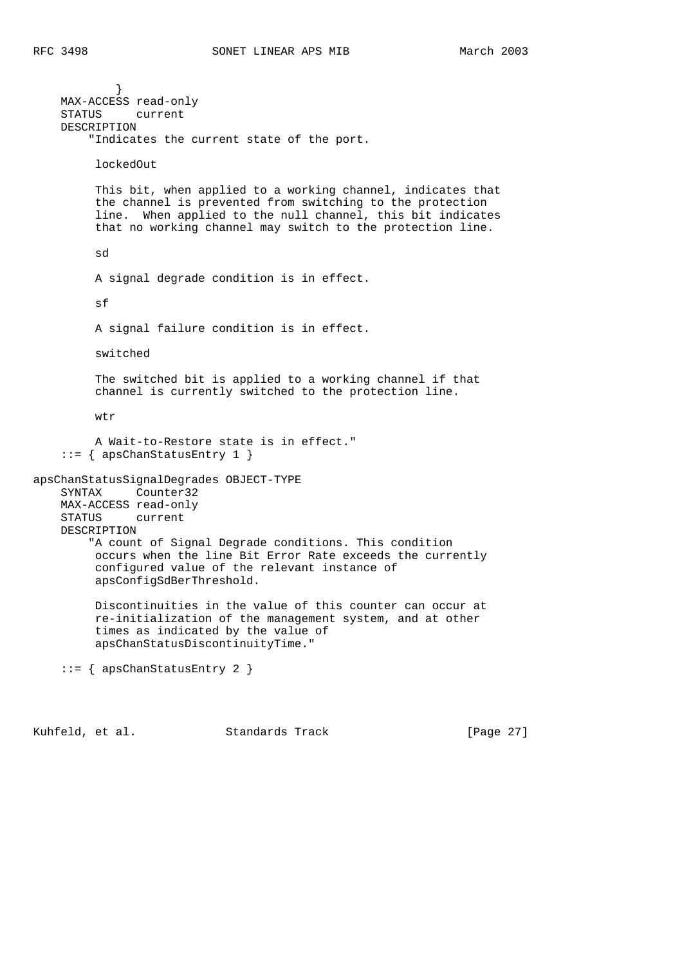} MAX-ACCESS read-only STATUS current DESCRIPTION "Indicates the current state of the port. lockedOut This bit, when applied to a working channel, indicates that the channel is prevented from switching to the protection line. When applied to the null channel, this bit indicates that no working channel may switch to the protection line. sd A signal degrade condition is in effect.  $sf$  A signal failure condition is in effect. switched The switched bit is applied to a working channel if that channel is currently switched to the protection line. wtr A Wait-to-Restore state is in effect." ::= { apsChanStatusEntry 1 } apsChanStatusSignalDegrades OBJECT-TYPE SYNTAX Counter32 MAX-ACCESS read-only STATUS current DESCRIPTION "A count of Signal Degrade conditions. This condition occurs when the line Bit Error Rate exceeds the currently configured value of the relevant instance of apsConfigSdBerThreshold. Discontinuities in the value of this counter can occur at re-initialization of the management system, and at other times as indicated by the value of apsChanStatusDiscontinuityTime." ::= { apsChanStatusEntry 2 }

Kuhfeld, et al. Standards Track [Page 27]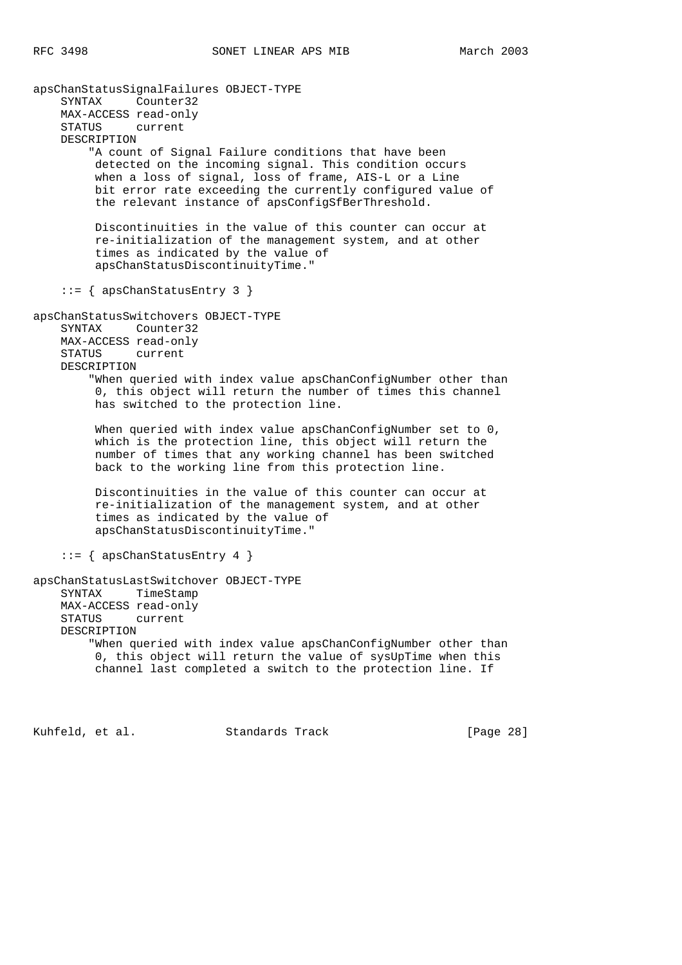apsChanStatusSignalFailures OBJECT-TYPE SYNTAX Counter32 MAX-ACCESS read-only STATUS current DESCRIPTION "A count of Signal Failure conditions that have been detected on the incoming signal. This condition occurs when a loss of signal, loss of frame, AIS-L or a Line bit error rate exceeding the currently configured value of the relevant instance of apsConfigSfBerThreshold. Discontinuities in the value of this counter can occur at re-initialization of the management system, and at other times as indicated by the value of apsChanStatusDiscontinuityTime." ::= { apsChanStatusEntry 3 } apsChanStatusSwitchovers OBJECT-TYPE SYNTAX Counter32 MAX-ACCESS read-only STATUS current DESCRIPTION "When queried with index value apsChanConfigNumber other than 0, this object will return the number of times this channel has switched to the protection line. When queried with index value apsChanConfigNumber set to 0, which is the protection line, this object will return the number of times that any working channel has been switched back to the working line from this protection line. Discontinuities in the value of this counter can occur at re-initialization of the management system, and at other times as indicated by the value of apsChanStatusDiscontinuityTime." ::= { apsChanStatusEntry 4 } apsChanStatusLastSwitchover OBJECT-TYPE SYNTAX TimeStamp MAX-ACCESS read-only STATUS current DESCRIPTION "When queried with index value apsChanConfigNumber other than 0, this object will return the value of sysUpTime when this channel last completed a switch to the protection line. If

Kuhfeld, et al. Standards Track [Page 28]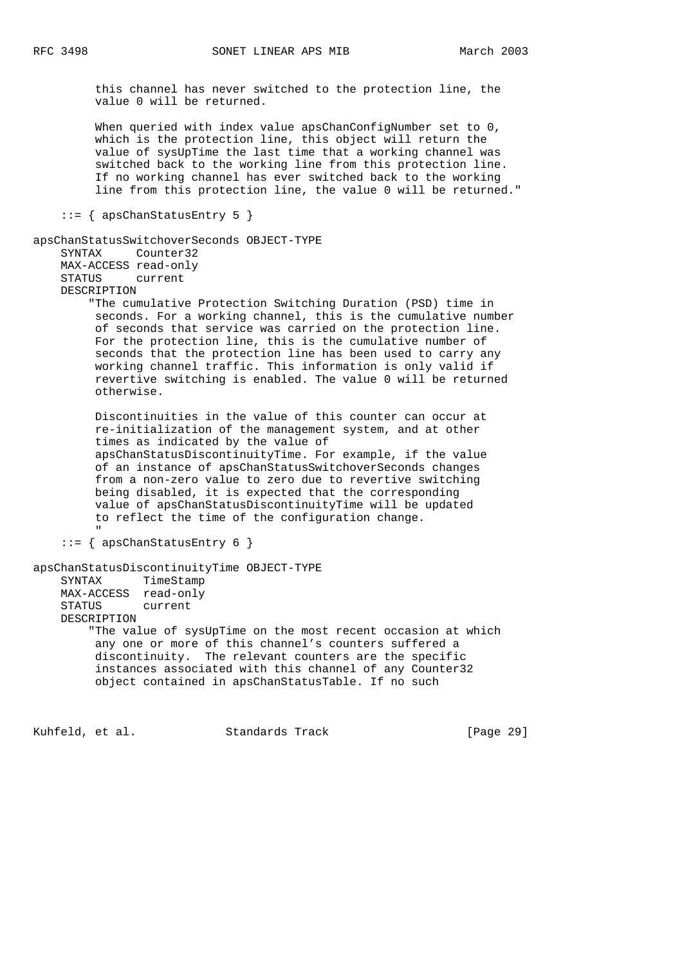this channel has never switched to the protection line, the value 0 will be returned.

 When queried with index value apsChanConfigNumber set to 0, which is the protection line, this object will return the value of sysUpTime the last time that a working channel was switched back to the working line from this protection line. If no working channel has ever switched back to the working line from this protection line, the value 0 will be returned."

::= { apsChanStatusEntry 5 }

```
apsChanStatusSwitchoverSeconds OBJECT-TYPE
     SYNTAX Counter32
    MAX-ACCESS read-only
    STATUS current
    DESCRIPTION
         "The cumulative Protection Switching Duration (PSD) time in
         seconds. For a working channel, this is the cumulative number
         of seconds that service was carried on the protection line.
         For the protection line, this is the cumulative number of
         seconds that the protection line has been used to carry any
         working channel traffic. This information is only valid if
         revertive switching is enabled. The value 0 will be returned
         otherwise.
         Discontinuities in the value of this counter can occur at
         re-initialization of the management system, and at other
         times as indicated by the value of
         apsChanStatusDiscontinuityTime. For example, if the value
         of an instance of apsChanStatusSwitchoverSeconds changes
         from a non-zero value to zero due to revertive switching
         being disabled, it is expected that the corresponding
         value of apsChanStatusDiscontinuityTime will be updated
         to reflect the time of the configuration change.
 "
     ::= { apsChanStatusEntry 6 }
apsChanStatusDiscontinuityTime OBJECT-TYPE
    SYNTAX TimeStamp
    MAX-ACCESS read-only
    STATUS current
    DESCRIPTION
         "The value of sysUpTime on the most recent occasion at which
         any one or more of this channel's counters suffered a
         discontinuity. The relevant counters are the specific
          instances associated with this channel of any Counter32
         object contained in apsChanStatusTable. If no such
```
Kuhfeld, et al. Standards Track [Page 29]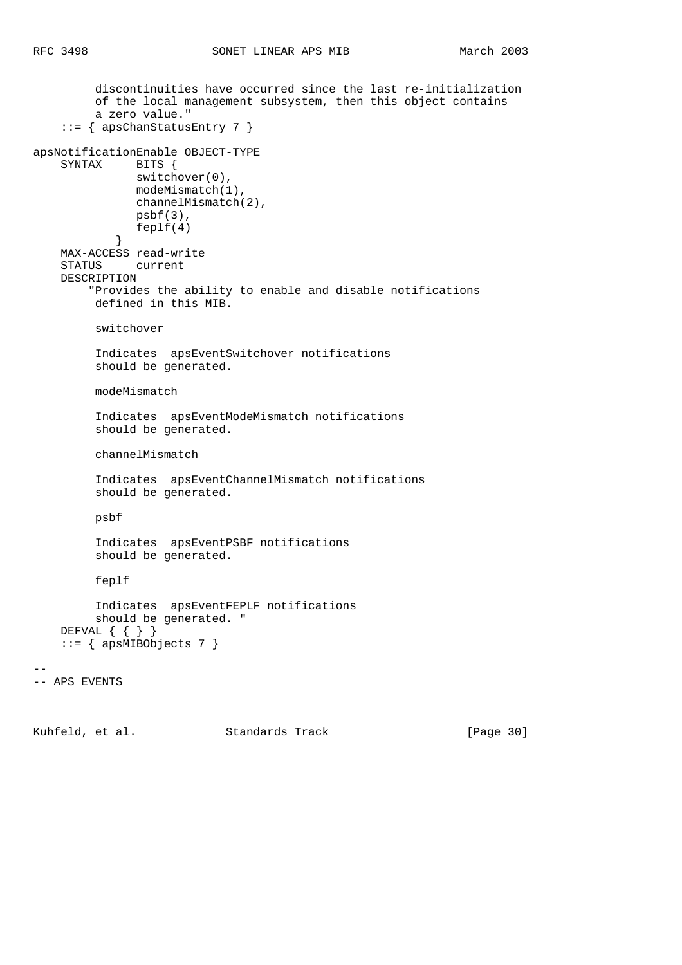```
 discontinuities have occurred since the last re-initialization
         of the local management subsystem, then this object contains
         a zero value."
     ::= { apsChanStatusEntry 7 }
apsNotificationEnable OBJECT-TYPE
    SYNTAX BITS {
               switchover(0),
               modeMismatch(1),
               channelMismatch(2),
               psbf(3),
            feplf(4) }
    MAX-ACCESS read-write
    STATUS current
    DESCRIPTION
         "Provides the ability to enable and disable notifications
         defined in this MIB.
         switchover
          Indicates apsEventSwitchover notifications
          should be generated.
         modeMismatch
          Indicates apsEventModeMismatch notifications
         should be generated.
         channelMismatch
         Indicates apsEventChannelMismatch notifications
         should be generated.
         psbf
          Indicates apsEventPSBF notifications
         should be generated.
          feplf
          Indicates apsEventFEPLF notifications
         should be generated. "
    DEFVAL { { } }
     ::= { apsMIBObjects 7 }
--
-- APS EVENTS
```
Kuhfeld, et al. Standards Track [Page 30]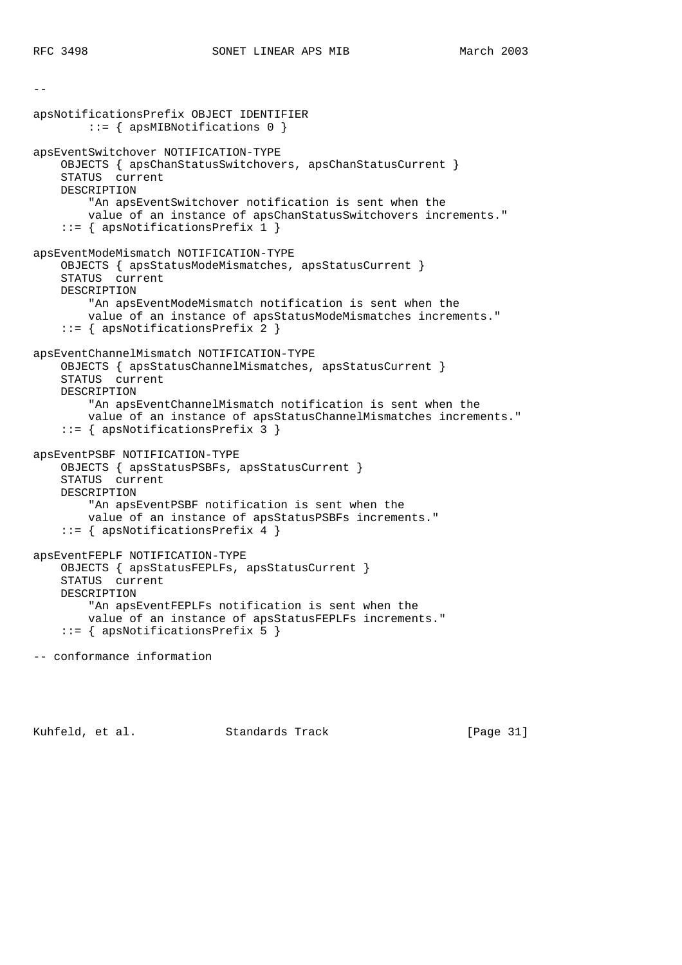--

apsNotificationsPrefix OBJECT IDENTIFIER ::= { apsMIBNotifications 0 } apsEventSwitchover NOTIFICATION-TYPE OBJECTS { apsChanStatusSwitchovers, apsChanStatusCurrent } STATUS current DESCRIPTION "An apsEventSwitchover notification is sent when the value of an instance of apsChanStatusSwitchovers increments." ::= { apsNotificationsPrefix 1 } apsEventModeMismatch NOTIFICATION-TYPE OBJECTS { apsStatusModeMismatches, apsStatusCurrent } STATUS current DESCRIPTION "An apsEventModeMismatch notification is sent when the value of an instance of apsStatusModeMismatches increments." ::= { apsNotificationsPrefix 2 } apsEventChannelMismatch NOTIFICATION-TYPE OBJECTS { apsStatusChannelMismatches, apsStatusCurrent } STATUS current DESCRIPTION "An apsEventChannelMismatch notification is sent when the value of an instance of apsStatusChannelMismatches increments." ::= { apsNotificationsPrefix 3 } apsEventPSBF NOTIFICATION-TYPE OBJECTS { apsStatusPSBFs, apsStatusCurrent } STATUS current DESCRIPTION "An apsEventPSBF notification is sent when the value of an instance of apsStatusPSBFs increments." ::= { apsNotificationsPrefix 4 } apsEventFEPLF NOTIFICATION-TYPE OBJECTS { apsStatusFEPLFs, apsStatusCurrent } STATUS current DESCRIPTION "An apsEventFEPLFs notification is sent when the value of an instance of apsStatusFEPLFs increments." ::= { apsNotificationsPrefix 5 }

-- conformance information

Kuhfeld, et al. Standards Track [Page 31]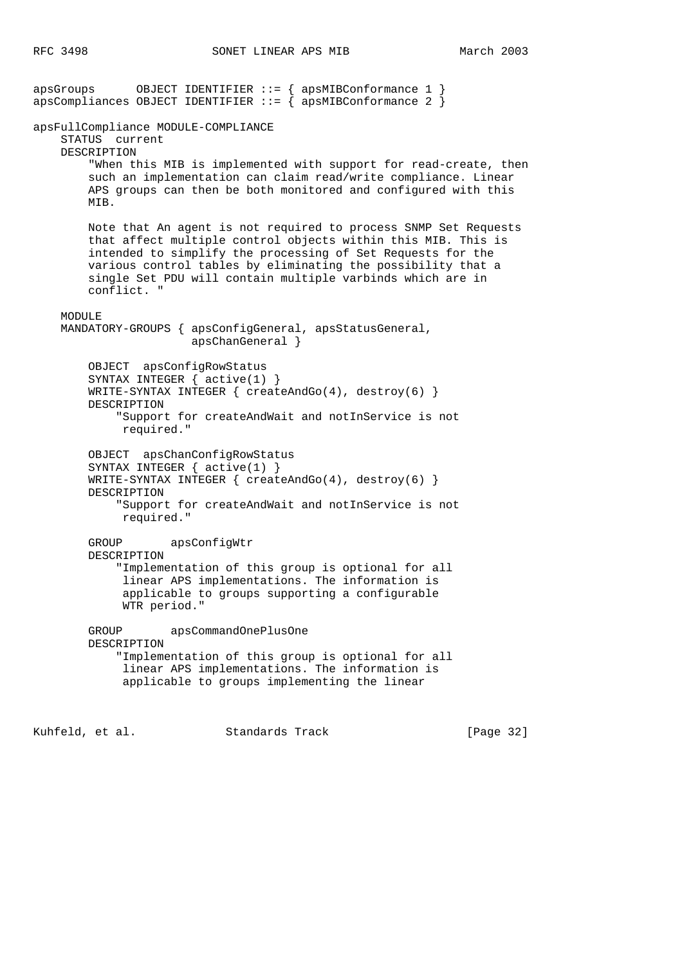apsGroups OBJECT IDENTIFIER ::= { apsMIBConformance 1 } apsCompliances OBJECT IDENTIFIER  $::=$   $\{$  apsMIBConformance 2  $\}$ apsFullCompliance MODULE-COMPLIANCE STATUS current DESCRIPTION "When this MIB is implemented with support for read-create, then such an implementation can claim read/write compliance. Linear APS groups can then be both monitored and configured with this MIB. Note that An agent is not required to process SNMP Set Requests that affect multiple control objects within this MIB. This is intended to simplify the processing of Set Requests for the various control tables by eliminating the possibility that a single Set PDU will contain multiple varbinds which are in conflict. " MODULE MANDATORY-GROUPS { apsConfigGeneral, apsStatusGeneral, apsChanGeneral } OBJECT apsConfigRowStatus SYNTAX INTEGER { active(1) } WRITE-SYNTAX INTEGER  $\{ \text{createdGO}(4), \text{destroy}(6) \}$  DESCRIPTION "Support for createAndWait and notInService is not required." OBJECT apsChanConfigRowStatus SYNTAX INTEGER { active(1) } WRITE-SYNTAX INTEGER { createAndGo(4), destroy(6) } DESCRIPTION "Support for createAndWait and notInService is not required." GROUP apsConfigWtr DESCRIPTION "Implementation of this group is optional for all linear APS implementations. The information is applicable to groups supporting a configurable WTR period." GROUP apsCommandOnePlusOne DESCRIPTION "Implementation of this group is optional for all linear APS implementations. The information is applicable to groups implementing the linear

Kuhfeld, et al. Standards Track [Page 32]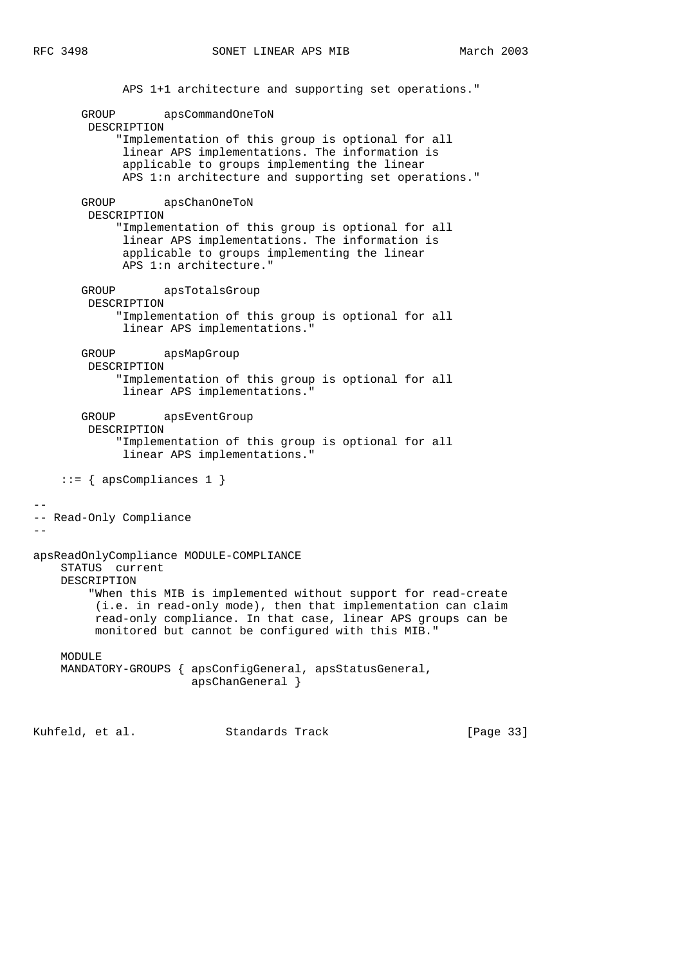--

--

```
 APS 1+1 architecture and supporting set operations."
        GROUP apsCommandOneToN
         DESCRIPTION
             "Implementation of this group is optional for all
             linear APS implementations. The information is
              applicable to groups implementing the linear
              APS 1:n architecture and supporting set operations."
        GROUP apsChanOneToN
         DESCRIPTION
             "Implementation of this group is optional for all
              linear APS implementations. The information is
              applicable to groups implementing the linear
              APS 1:n architecture."
        GROUP apsTotalsGroup
         DESCRIPTION
             "Implementation of this group is optional for all
             linear APS implementations."
        GROUP apsMapGroup
         DESCRIPTION
             "Implementation of this group is optional for all
              linear APS implementations."
        GROUP apsEventGroup
         DESCRIPTION
             "Implementation of this group is optional for all
              linear APS implementations."
    ::= { apsCompliances 1 }
-- Read-Only Compliance
apsReadOnlyCompliance MODULE-COMPLIANCE
    STATUS current
    DESCRIPTION
         "When this MIB is implemented without support for read-create
          (i.e. in read-only mode), then that implementation can claim
         read-only compliance. In that case, linear APS groups can be
         monitored but cannot be configured with this MIB."
   MODULE<sub>E</sub>
    MANDATORY-GROUPS { apsConfigGeneral, apsStatusGeneral,
                        apsChanGeneral }
```
Kuhfeld, et al. Standards Track [Page 33]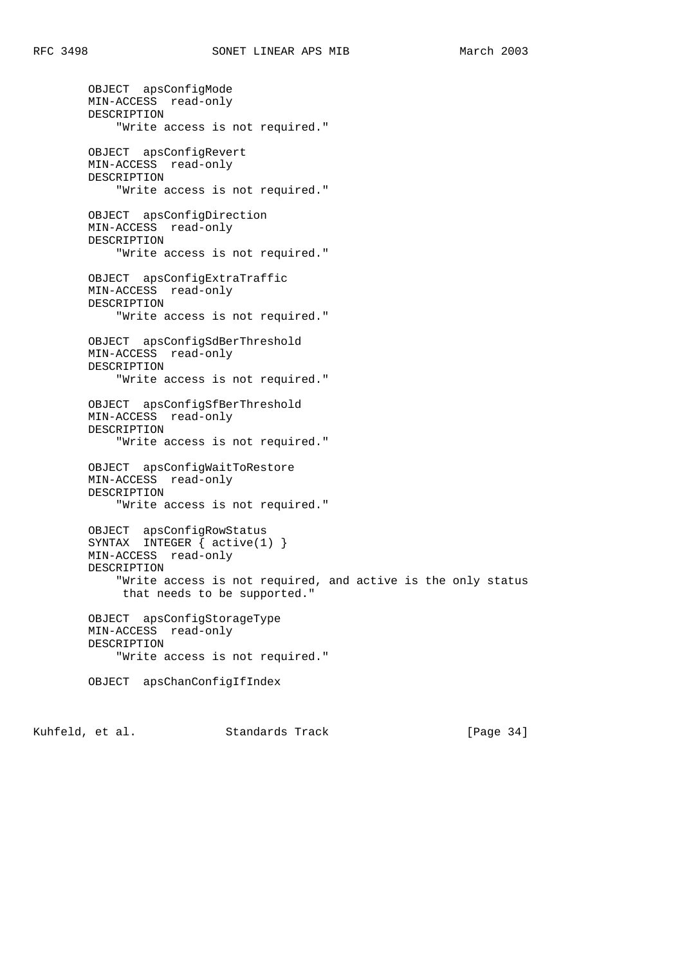OBJECT apsConfigMode MIN-ACCESS read-only DESCRIPTION "Write access is not required." OBJECT apsConfigRevert MIN-ACCESS read-only DESCRIPTION "Write access is not required." OBJECT apsConfigDirection MIN-ACCESS read-only DESCRIPTION "Write access is not required." OBJECT apsConfigExtraTraffic MIN-ACCESS read-only DESCRIPTION "Write access is not required." OBJECT apsConfigSdBerThreshold MIN-ACCESS read-only DESCRIPTION "Write access is not required." OBJECT apsConfigSfBerThreshold MIN-ACCESS read-only DESCRIPTION "Write access is not required." OBJECT apsConfigWaitToRestore MIN-ACCESS read-only DESCRIPTION "Write access is not required." OBJECT apsConfigRowStatus SYNTAX INTEGER { active(1) } MIN-ACCESS read-only DESCRIPTION "Write access is not required, and active is the only status that needs to be supported." OBJECT apsConfigStorageType MIN-ACCESS read-only DESCRIPTION "Write access is not required." OBJECT apsChanConfigIfIndex

Kuhfeld, et al. Standards Track [Page 34]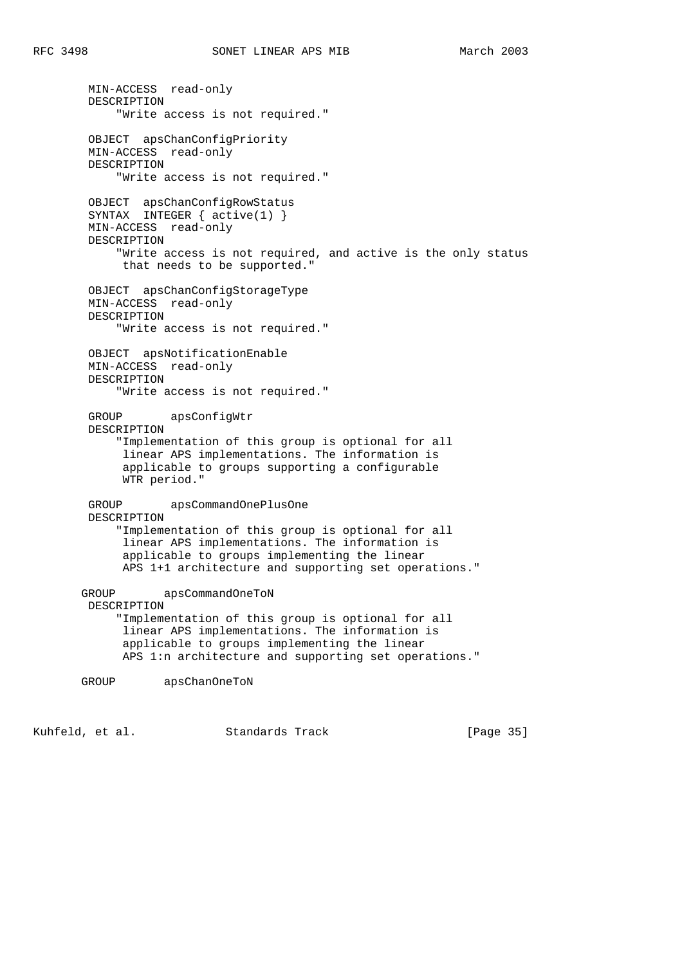MIN-ACCESS read-only DESCRIPTION "Write access is not required." OBJECT apsChanConfigPriority MIN-ACCESS read-only DESCRIPTION "Write access is not required." OBJECT apsChanConfigRowStatus SYNTAX INTEGER { active(1) } MIN-ACCESS read-only DESCRIPTION "Write access is not required, and active is the only status that needs to be supported." OBJECT apsChanConfigStorageType MIN-ACCESS read-only DESCRIPTION "Write access is not required." OBJECT apsNotificationEnable MIN-ACCESS read-only DESCRIPTION "Write access is not required." GROUP apsConfigWtr DESCRIPTION "Implementation of this group is optional for all linear APS implementations. The information is applicable to groups supporting a configurable WTR period." GROUP apsCommandOnePlusOne DESCRIPTION "Implementation of this group is optional for all linear APS implementations. The information is applicable to groups implementing the linear APS 1+1 architecture and supporting set operations." GROUP apsCommandOneToN DESCRIPTION "Implementation of this group is optional for all linear APS implementations. The information is applicable to groups implementing the linear APS 1:n architecture and supporting set operations." GROUP apsChanOneToN

Kuhfeld, et al. Standards Track [Page 35]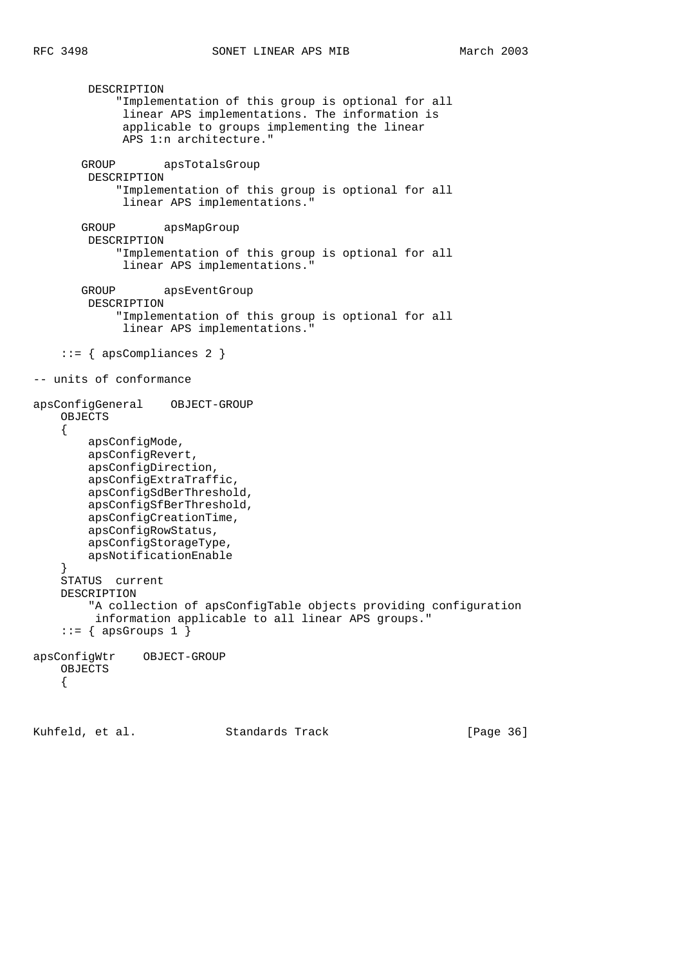```
 DESCRIPTION
             "Implementation of this group is optional for all
              linear APS implementations. The information is
              applicable to groups implementing the linear
              APS 1:n architecture."
        GROUP apsTotalsGroup
        DESCRIPTION
             "Implementation of this group is optional for all
              linear APS implementations."
        GROUP apsMapGroup
         DESCRIPTION
             "Implementation of this group is optional for all
              linear APS implementations."
        GROUP apsEventGroup
         DESCRIPTION
             "Implementation of this group is optional for all
              linear APS implementations."
     ::= { apsCompliances 2 }
-- units of conformance
apsConfigGeneral OBJECT-GROUP
    OBJECTS
     {
         apsConfigMode,
         apsConfigRevert,
         apsConfigDirection,
         apsConfigExtraTraffic,
         apsConfigSdBerThreshold,
         apsConfigSfBerThreshold,
         apsConfigCreationTime,
         apsConfigRowStatus,
         apsConfigStorageType,
         apsNotificationEnable
 }
    STATUS current
    DESCRIPTION
         "A collection of apsConfigTable objects providing configuration
          information applicable to all linear APS groups."
    ::= { apsGroups 1 }
apsConfigWtr OBJECT-GROUP
    OBJECTS
     {
```
Kuhfeld, et al. Standards Track [Page 36]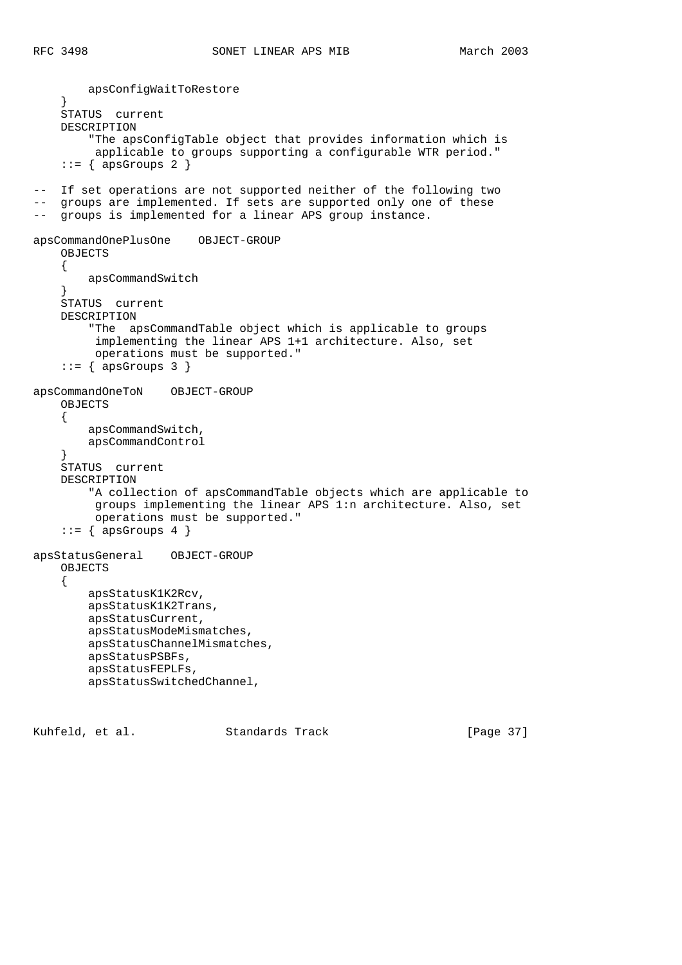```
 apsConfigWaitToRestore
 }
     STATUS current
     DESCRIPTION
         "The apsConfigTable object that provides information which is
          applicable to groups supporting a configurable WTR period."
    ::= { apsGroups 2 }
-- If set operations are not supported neither of the following two
-- groups are implemented. If sets are supported only one of these
-- groups is implemented for a linear APS group instance.
apsCommandOnePlusOne OBJECT-GROUP
     OBJECTS
     {
         apsCommandSwitch
 }
     STATUS current
     DESCRIPTION
         "The apsCommandTable object which is applicable to groups
          implementing the linear APS 1+1 architecture. Also, set
          operations must be supported."
    ::= { apsGroups 3 }
apsCommandOneToN OBJECT-GROUP
     OBJECTS
     {
         apsCommandSwitch,
         apsCommandControl
     }
     STATUS current
     DESCRIPTION
         "A collection of apsCommandTable objects which are applicable to
          groups implementing the linear APS 1:n architecture. Also, set
         operations must be supported."
    ::= { apsGroups 4 }
apsStatusGeneral OBJECT-GROUP
     OBJECTS
     {
         apsStatusK1K2Rcv,
         apsStatusK1K2Trans,
         apsStatusCurrent,
         apsStatusModeMismatches,
         apsStatusChannelMismatches,
         apsStatusPSBFs,
         apsStatusFEPLFs,
         apsStatusSwitchedChannel,
```
Kuhfeld, et al. Standards Track [Page 37]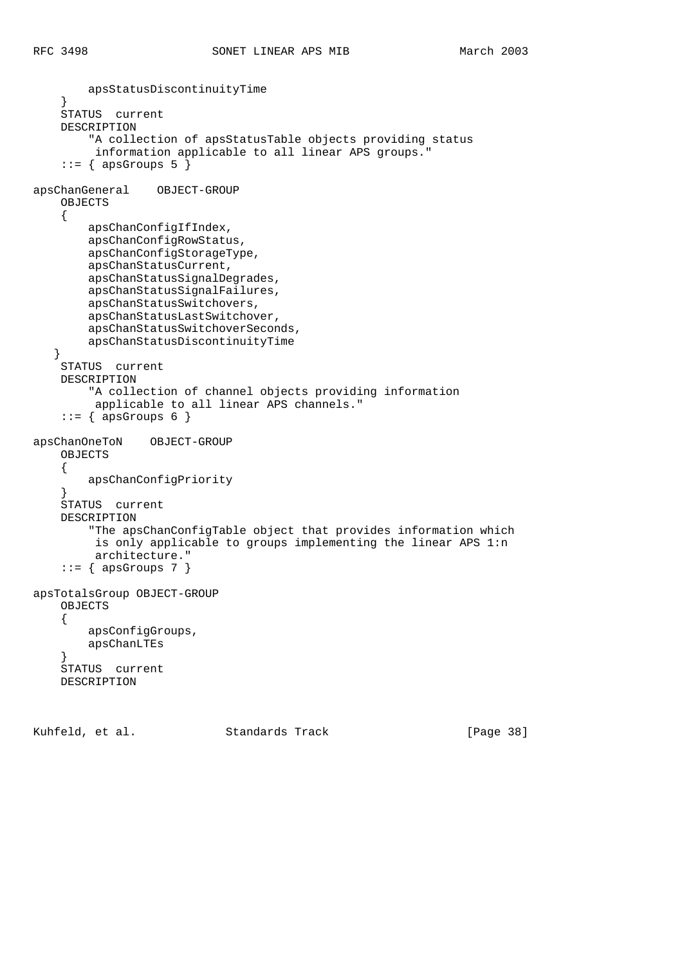```
 apsStatusDiscontinuityTime
 }
     STATUS current
     DESCRIPTION
         "A collection of apsStatusTable objects providing status
          information applicable to all linear APS groups."
    ::= { apsGroups 5 }
apsChanGeneral OBJECT-GROUP
     OBJECTS
     {
         apsChanConfigIfIndex,
         apsChanConfigRowStatus,
         apsChanConfigStorageType,
         apsChanStatusCurrent,
         apsChanStatusSignalDegrades,
         apsChanStatusSignalFailures,
         apsChanStatusSwitchovers,
         apsChanStatusLastSwitchover,
         apsChanStatusSwitchoverSeconds,
         apsChanStatusDiscontinuityTime
    }
     STATUS current
     DESCRIPTION
         "A collection of channel objects providing information
          applicable to all linear APS channels."
    ::= { \frac{1}{4} apsGroups 6 }
apsChanOneToN OBJECT-GROUP
    OBJECTS
     {
         apsChanConfigPriority
 }
     STATUS current
     DESCRIPTION
         "The apsChanConfigTable object that provides information which
          is only applicable to groups implementing the linear APS 1:n
          architecture."
    ::= { apsGroups 7 }
apsTotalsGroup OBJECT-GROUP
     OBJECTS
     {
         apsConfigGroups,
         apsChanLTEs
 }
     STATUS current
     DESCRIPTION
```
Kuhfeld, et al. Standards Track [Page 38]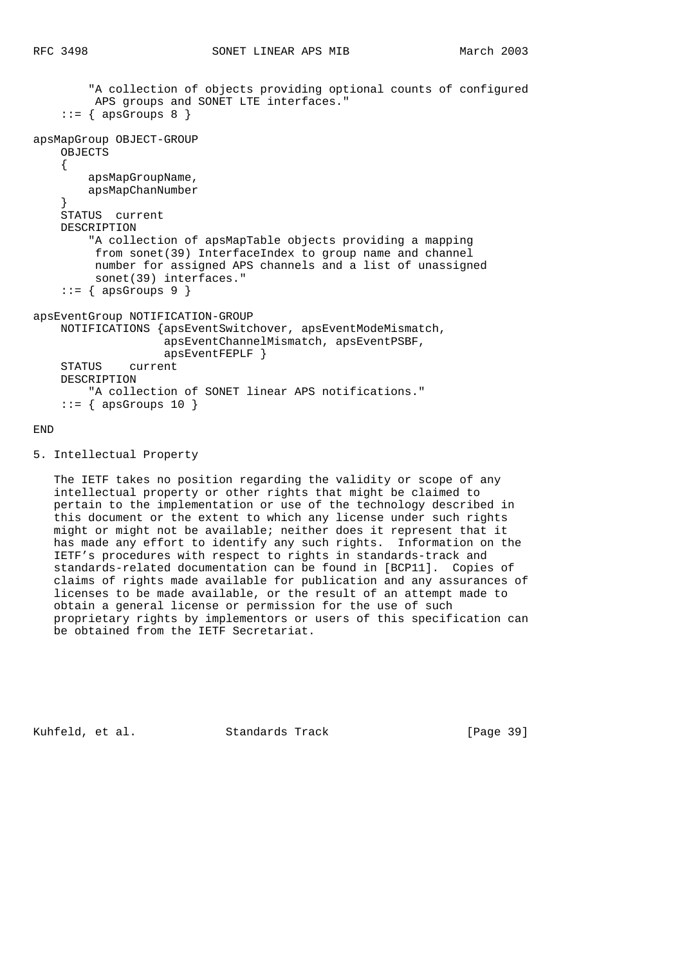```
 "A collection of objects providing optional counts of configured
          APS groups and SONET LTE interfaces."
    ::= { apsGroups 8 }
apsMapGroup OBJECT-GROUP
     OBJECTS
     {
         apsMapGroupName,
         apsMapChanNumber
     }
     STATUS current
     DESCRIPTION
         "A collection of apsMapTable objects providing a mapping
         from sonet(39) InterfaceIndex to group name and channel
          number for assigned APS channels and a list of unassigned
          sonet(39) interfaces."
    ::= { apsGroups 9 }
apsEventGroup NOTIFICATION-GROUP
     NOTIFICATIONS {apsEventSwitchover, apsEventModeMismatch,
                    apsEventChannelMismatch, apsEventPSBF,
                    apsEventFEPLF }
     STATUS current
     DESCRIPTION
         "A collection of SONET linear APS notifications."
    ::= { apsGroups 10 }
```
## END

5. Intellectual Property

 The IETF takes no position regarding the validity or scope of any intellectual property or other rights that might be claimed to pertain to the implementation or use of the technology described in this document or the extent to which any license under such rights might or might not be available; neither does it represent that it has made any effort to identify any such rights. Information on the IETF's procedures with respect to rights in standards-track and standards-related documentation can be found in [BCP11]. Copies of claims of rights made available for publication and any assurances of licenses to be made available, or the result of an attempt made to obtain a general license or permission for the use of such proprietary rights by implementors or users of this specification can be obtained from the IETF Secretariat.

Kuhfeld, et al. Standards Track [Page 39]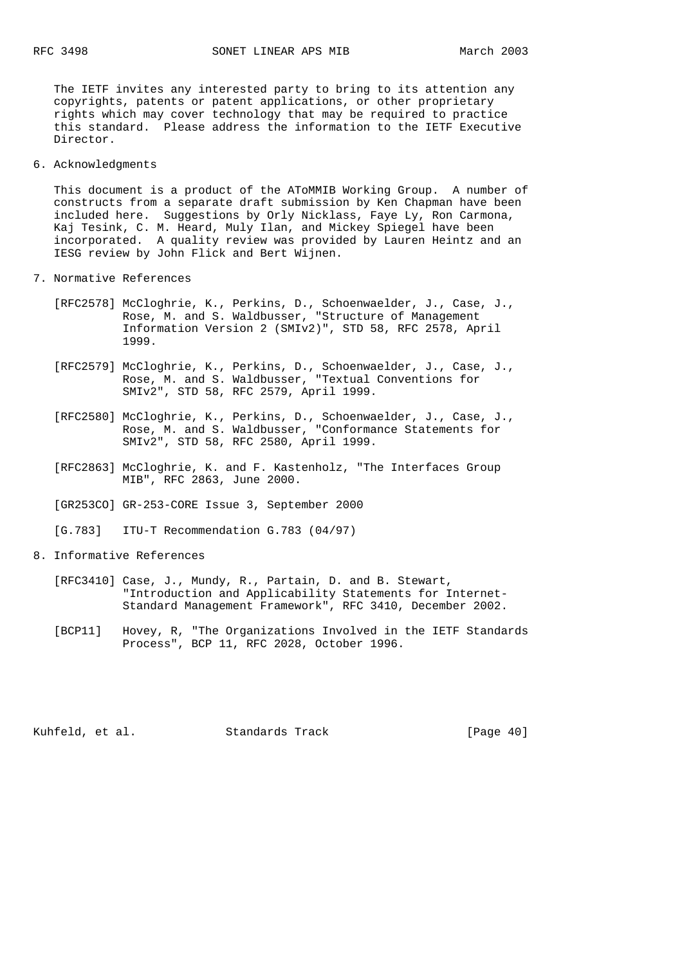The IETF invites any interested party to bring to its attention any copyrights, patents or patent applications, or other proprietary rights which may cover technology that may be required to practice this standard. Please address the information to the IETF Executive Director.

6. Acknowledgments

 This document is a product of the AToMMIB Working Group. A number of constructs from a separate draft submission by Ken Chapman have been included here. Suggestions by Orly Nicklass, Faye Ly, Ron Carmona, Kaj Tesink, C. M. Heard, Muly Ilan, and Mickey Spiegel have been incorporated. A quality review was provided by Lauren Heintz and an IESG review by John Flick and Bert Wijnen.

- 7. Normative References
	- [RFC2578] McCloghrie, K., Perkins, D., Schoenwaelder, J., Case, J., Rose, M. and S. Waldbusser, "Structure of Management Information Version 2 (SMIv2)", STD 58, RFC 2578, April 1999.
- [RFC2579] McCloghrie, K., Perkins, D., Schoenwaelder, J., Case, J., Rose, M. and S. Waldbusser, "Textual Conventions for SMIv2", STD 58, RFC 2579, April 1999.
	- [RFC2580] McCloghrie, K., Perkins, D., Schoenwaelder, J., Case, J., Rose, M. and S. Waldbusser, "Conformance Statements for SMIv2", STD 58, RFC 2580, April 1999.
	- [RFC2863] McCloghrie, K. and F. Kastenholz, "The Interfaces Group MIB", RFC 2863, June 2000.
	- [GR253CO] GR-253-CORE Issue 3, September 2000
	- [G.783] ITU-T Recommendation G.783 (04/97)
- 8. Informative References
	- [RFC3410] Case, J., Mundy, R., Partain, D. and B. Stewart, "Introduction and Applicability Statements for Internet- Standard Management Framework", RFC 3410, December 2002.
	- [BCP11] Hovey, R, "The Organizations Involved in the IETF Standards Process", BCP 11, RFC 2028, October 1996.

Kuhfeld, et al. Standards Track [Page 40]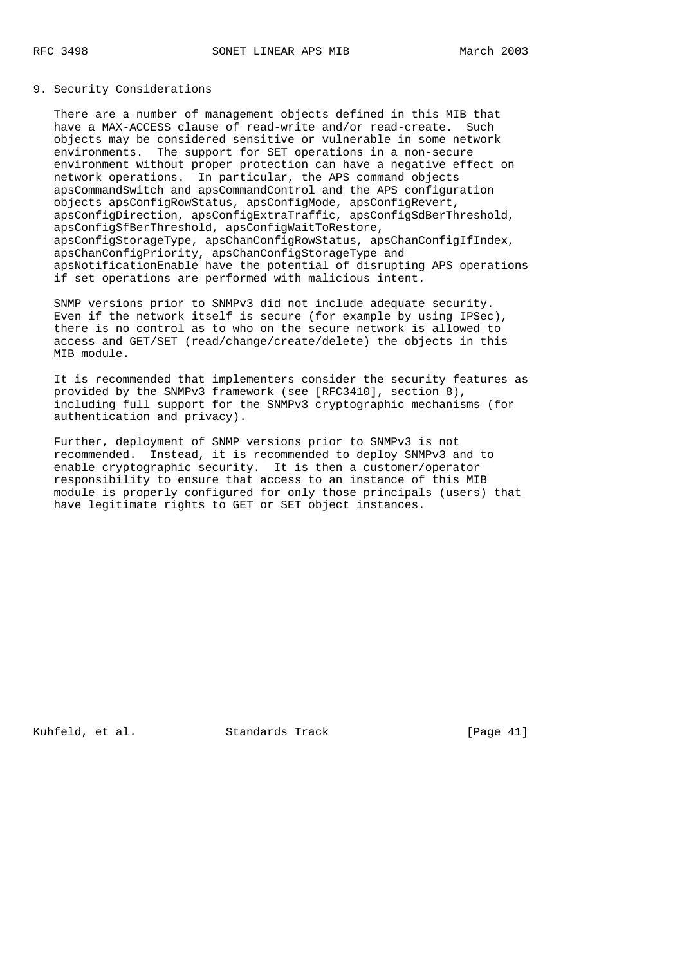## 9. Security Considerations

 There are a number of management objects defined in this MIB that have a MAX-ACCESS clause of read-write and/or read-create. Such objects may be considered sensitive or vulnerable in some network environments. The support for SET operations in a non-secure environment without proper protection can have a negative effect on network operations. In particular, the APS command objects apsCommandSwitch and apsCommandControl and the APS configuration objects apsConfigRowStatus, apsConfigMode, apsConfigRevert, apsConfigDirection, apsConfigExtraTraffic, apsConfigSdBerThreshold, apsConfigSfBerThreshold, apsConfigWaitToRestore, apsConfigStorageType, apsChanConfigRowStatus, apsChanConfigIfIndex, apsChanConfigPriority, apsChanConfigStorageType and apsNotificationEnable have the potential of disrupting APS operations if set operations are performed with malicious intent.

 SNMP versions prior to SNMPv3 did not include adequate security. Even if the network itself is secure (for example by using IPSec), there is no control as to who on the secure network is allowed to access and GET/SET (read/change/create/delete) the objects in this MIB module.

 It is recommended that implementers consider the security features as provided by the SNMPv3 framework (see [RFC3410], section 8), including full support for the SNMPv3 cryptographic mechanisms (for authentication and privacy).

 Further, deployment of SNMP versions prior to SNMPv3 is not recommended. Instead, it is recommended to deploy SNMPv3 and to enable cryptographic security. It is then a customer/operator responsibility to ensure that access to an instance of this MIB module is properly configured for only those principals (users) that have legitimate rights to GET or SET object instances.

Kuhfeld, et al. Standards Track [Page 41]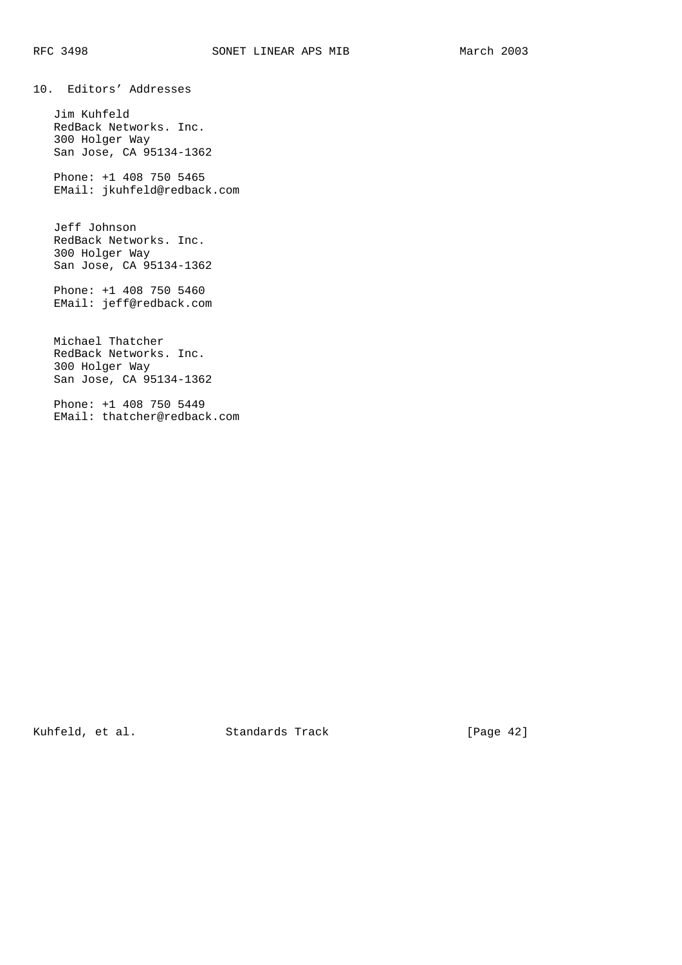10. Editors' Addresses

 Jim Kuhfeld RedBack Networks. Inc. 300 Holger Way San Jose, CA 95134-1362

 Phone: +1 408 750 5465 EMail: jkuhfeld@redback.com

 Jeff Johnson RedBack Networks. Inc. 300 Holger Way San Jose, CA 95134-1362

 Phone: +1 408 750 5460 EMail: jeff@redback.com

 Michael Thatcher RedBack Networks. Inc. 300 Holger Way San Jose, CA 95134-1362

 Phone: +1 408 750 5449 EMail: thatcher@redback.com

Kuhfeld, et al. Standards Track [Page 42]